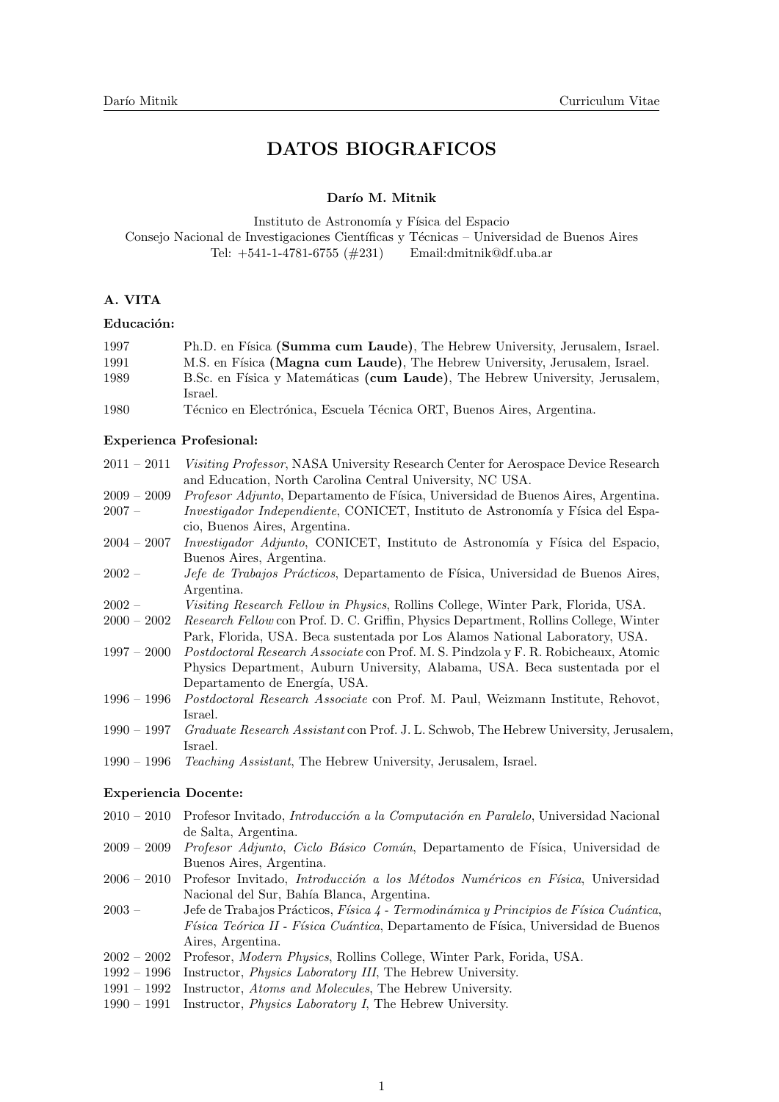# DATOS BIOGRAFICOS

#### Darío M. Mitnik

Instituto de Astronomía y Física del Espacio Consejo Nacional de Investigaciones Científicas y Técnicas – Universidad de Buenos Aires Tel: +541-1-4781-6755 (#231) Email:dmitnik@df.uba.ar

## A. VITA

## Educación:

| 1997 | Ph.D. en Física (Summa cum Laude), The Hebrew University, Jerusalem, Israel.                                                                                                                                                                                                                       |
|------|----------------------------------------------------------------------------------------------------------------------------------------------------------------------------------------------------------------------------------------------------------------------------------------------------|
| 1991 | M.S. en Física (Magna cum Laude), The Hebrew University, Jerusalem, Israel.                                                                                                                                                                                                                        |
| 1989 | B.Sc. en Física y Matemáticas (cum Laude), The Hebrew University, Jerusalem,                                                                                                                                                                                                                       |
|      | Israel.                                                                                                                                                                                                                                                                                            |
| 1000 | $\mathbb{H}^j$ . $\mathbb{H}^j$ , $j$ , $\mathbb{H}^j$ , $\mathbb{H}^j$ , $\mathbb{H}^j$ , $\mathbb{H}^j$ , $\mathbb{H}^j$ , $\mathbb{H}^j$ , $\mathbb{H}^j$ , $\mathbb{H}^j$ , $\mathbb{H}^j$ , $\mathbb{H}^j$ , $\mathbb{H}^j$ , $\mathbb{H}^j$ , $\mathbb{H}^j$ , $\mathbb{H}^j$ , $\mathbb{H}$ |

1980 Técnico en Electrónica, Escuela Técnica ORT, Buenos Aires, Argentina.

#### Experienca Profesional:

- 2011 2011 Visiting Professor, NASA University Research Center for Aerospace Device Research and Education, North Carolina Central University, NC USA.
- 2009 2009 *Profesor Adjunto*, Departamento de Física, Universidad de Buenos Aires, Argentina. 2007 – *Investigador Independiente*, CONICET, Instituto de Astronomía y Física del Espacio, Buenos Aires, Argentina.
- $2004 2007$  Investigador Adjunto, CONICET, Instituto de Astronomía y Física del Espacio, Buenos Aires, Argentina.
- 2002 Jefe de Trabajos Prácticos, Departamento de Física, Universidad de Buenos Aires, Argentina.
- 2002 Visiting Research Fellow in Physics, Rollins College, Winter Park, Florida, USA.
- 2000 2002 Research Fellow con Prof. D. C. Griffin, Physics Department, Rollins College, Winter Park, Florida, USA. Beca sustentada por Los Alamos National Laboratory, USA.
- 1997 2000 Postdoctoral Research Associate con Prof. M. S. Pindzola y F. R. Robicheaux, Atomic Physics Department, Auburn University, Alabama, USA. Beca sustentada por el Departamento de Energía, USA.
- 1996 1996 Postdoctoral Research Associate con Prof. M. Paul, Weizmann Institute, Rehovot, Israel.
- 1990 1997 Graduate Research Assistant con Prof. J. L. Schwob, The Hebrew University, Jerusalem, Israel.
- 1990 1996 Teaching Assistant, The Hebrew University, Jerusalem, Israel.

#### Experiencia Docente:

- $2010 2010$  Profesor Invitado, *Introducción a la Computación en Paralelo*, Universidad Nacional de Salta, Argentina.
- 2009 2009 *Profesor Adjunto, Ciclo Básico Común*, Departamento de Física, Universidad de Buenos Aires, Argentina.
- 2006 2010 Profesor Invitado, Introducción a los Métodos Numéricos en Física, Universidad Nacional del Sur, Bahía Blanca, Argentina.
- 2003 Jefe de Trabajos Prácticos, Física 4 Termodinámica y Principios de Física Cuántica,  $Física Teórica II - Física Cuántica, Departamento de Física, Universidad de Buenos$ Aires, Argentina.
- 2002 2002 Profesor, Modern Physics, Rollins College, Winter Park, Forida, USA.
- 1992 1996 Instructor, Physics Laboratory III, The Hebrew University.
- 1991 1992 Instructor, Atoms and Molecules, The Hebrew University.
- 1990 1991 Instructor, Physics Laboratory I, The Hebrew University.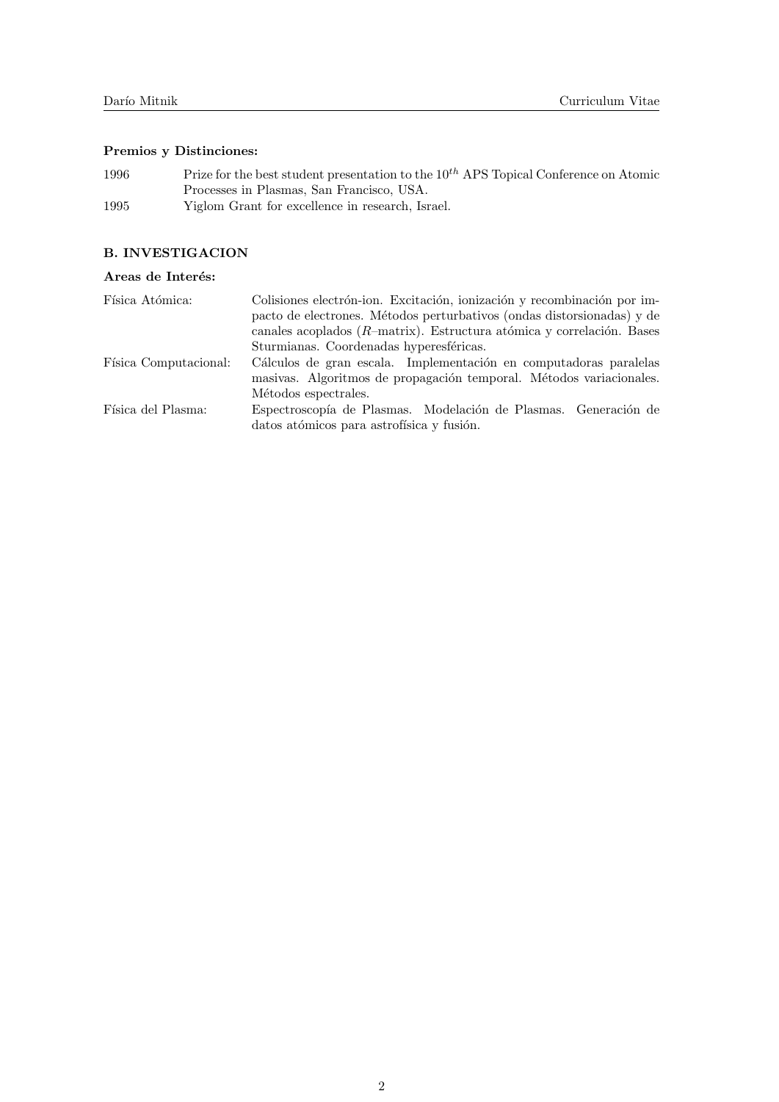# Premios y Distinciones:

| 1996 | Prize for the best student presentation to the $10^{th}$ APS Topical Conference on Atomic |
|------|-------------------------------------------------------------------------------------------|
|      | Processes in Plasmas, San Francisco, USA.                                                 |
| 1995 | Yiglom Grant for excellence in research, Israel.                                          |

# B. INVESTIGACION

# Areas de Interés:  $\,$

| Física Atómica:       | Colisiones electrón-ion. Excitación, ionización y recombinación por im-<br>pacto de electrones. Métodos perturbativos (ondas distorsionadas) y de<br>canales acoplados ( $R$ -matrix). Estructura atómica y correlación. Bases |
|-----------------------|--------------------------------------------------------------------------------------------------------------------------------------------------------------------------------------------------------------------------------|
|                       | Sturmianas. Coordenadas hyperesféricas.                                                                                                                                                                                        |
| Física Computacional: | Cálculos de gran escala. Implementación en computadoras paralelas<br>masivas. Algoritmos de propagación temporal. Métodos variacionales.                                                                                       |
|                       | Métodos espectrales.                                                                                                                                                                                                           |
| Física del Plasma:    | Espectroscopía de Plasmas. Modelación de Plasmas. Generación de<br>datos atómicos para astrofísica y fusión.                                                                                                                   |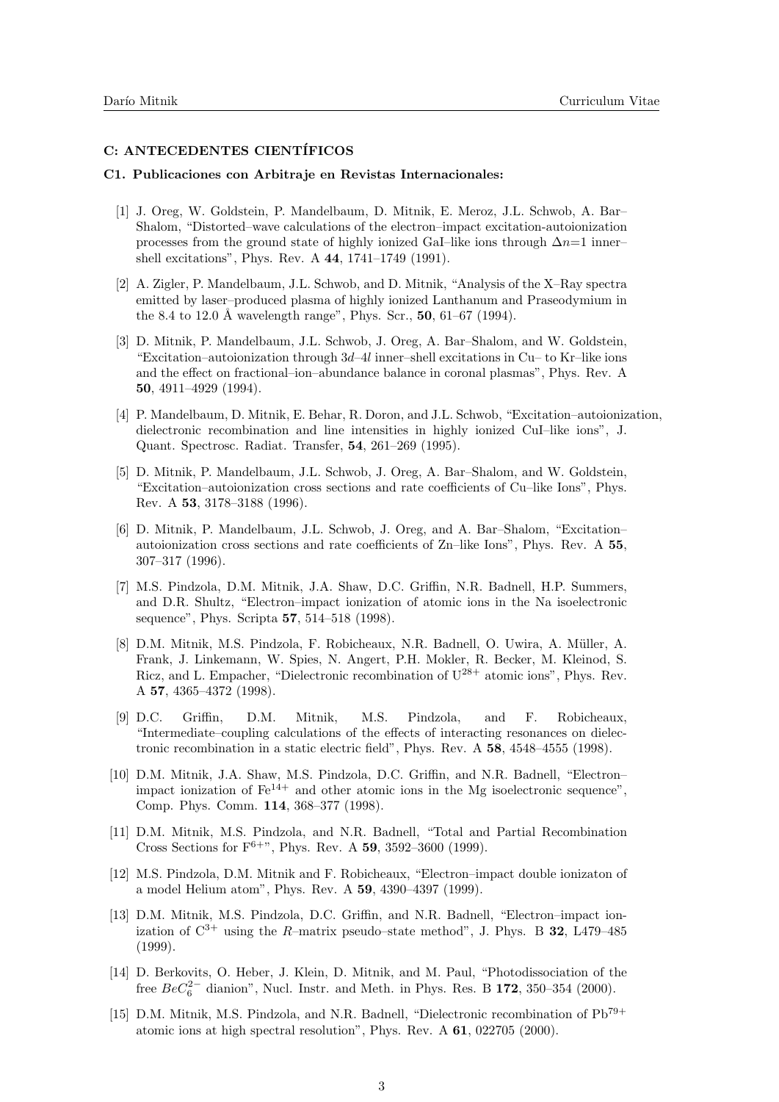# C: ANTECEDENTES CIENTÍFICOS

#### C1. Publicaciones con Arbitraje en Revistas Internacionales:

- [1] J. Oreg, W. Goldstein, P. Mandelbaum, D. Mitnik, E. Meroz, J.L. Schwob, A. Bar– Shalom, "Distorted–wave calculations of the electron–impact excitation-autoionization processes from the ground state of highly ionized GaI–like ions through  $\Delta n=1$  inner– shell excitations", Phys. Rev. A 44, 1741–1749 (1991).
- [2] A. Zigler, P. Mandelbaum, J.L. Schwob, and D. Mitnik, "Analysis of the X–Ray spectra emitted by laser–produced plasma of highly ionized Lanthanum and Praseodymium in the 8.4 to 12.0 Å wavelength range", Phys. Scr.,  $50, 61-67$  (1994).
- [3] D. Mitnik, P. Mandelbaum, J.L. Schwob, J. Oreg, A. Bar–Shalom, and W. Goldstein, "Excitation–autoionization through  $3d-4l$  inner–shell excitations in Cu– to Kr–like ions and the effect on fractional–ion–abundance balance in coronal plasmas", Phys. Rev. A 50, 4911–4929 (1994).
- [4] P. Mandelbaum, D. Mitnik, E. Behar, R. Doron, and J.L. Schwob, "Excitation–autoionization, dielectronic recombination and line intensities in highly ionized CuI–like ions", J. Quant. Spectrosc. Radiat. Transfer, 54, 261–269 (1995).
- [5] D. Mitnik, P. Mandelbaum, J.L. Schwob, J. Oreg, A. Bar–Shalom, and W. Goldstein, "Excitation–autoionization cross sections and rate coefficients of Cu–like Ions", Phys. Rev. A 53, 3178–3188 (1996).
- [6] D. Mitnik, P. Mandelbaum, J.L. Schwob, J. Oreg, and A. Bar–Shalom, "Excitation– autoionization cross sections and rate coefficients of Zn–like Ions", Phys. Rev. A 55, 307–317 (1996).
- [7] M.S. Pindzola, D.M. Mitnik, J.A. Shaw, D.C. Griffin, N.R. Badnell, H.P. Summers, and D.R. Shultz, "Electron–impact ionization of atomic ions in the Na isoelectronic sequence", Phys. Scripta 57, 514–518 (1998).
- [8] D.M. Mitnik, M.S. Pindzola, F. Robicheaux, N.R. Badnell, O. Uwira, A. M¨uller, A. Frank, J. Linkemann, W. Spies, N. Angert, P.H. Mokler, R. Becker, M. Kleinod, S. Ricz, and L. Empacher, "Dielectronic recombination of  $U^{28+}$  atomic ions", Phys. Rev. A 57, 4365–4372 (1998).
- [9] D.C. Griffin, D.M. Mitnik, M.S. Pindzola, and F. Robicheaux, "Intermediate–coupling calculations of the effects of interacting resonances on dielectronic recombination in a static electric field", Phys. Rev. A 58, 4548–4555 (1998).
- [10] D.M. Mitnik, J.A. Shaw, M.S. Pindzola, D.C. Griffin, and N.R. Badnell, "Electron– impact ionization of  $Fe^{14+}$  and other atomic ions in the Mg isoelectronic sequence", Comp. Phys. Comm. 114, 368–377 (1998).
- [11] D.M. Mitnik, M.S. Pindzola, and N.R. Badnell, "Total and Partial Recombination Cross Sections for  $F^{6+}$ ", Phys. Rev. A 59, 3592-3600 (1999).
- [12] M.S. Pindzola, D.M. Mitnik and F. Robicheaux, "Electron–impact double ionizaton of a model Helium atom", Phys. Rev. A 59, 4390–4397 (1999).
- [13] D.M. Mitnik, M.S. Pindzola, D.C. Griffin, and N.R. Badnell, "Electron–impact ionization of  $\mathrm{C}^{3+}$  using the R–matrix pseudo–state method", J. Phys. B 32, L479–485 (1999).
- [14] D. Berkovits, O. Heber, J. Klein, D. Mitnik, and M. Paul, "Photodissociation of the free  $BeC_6^{2-}$  dianion", Nucl. Instr. and Meth. in Phys. Res. B 172, 350–354 (2000).
- [15] D.M. Mitnik, M.S. Pindzola, and N.R. Badnell, "Dielectronic recombination of Pb79+ atomic ions at high spectral resolution", Phys. Rev. A 61, 022705 (2000).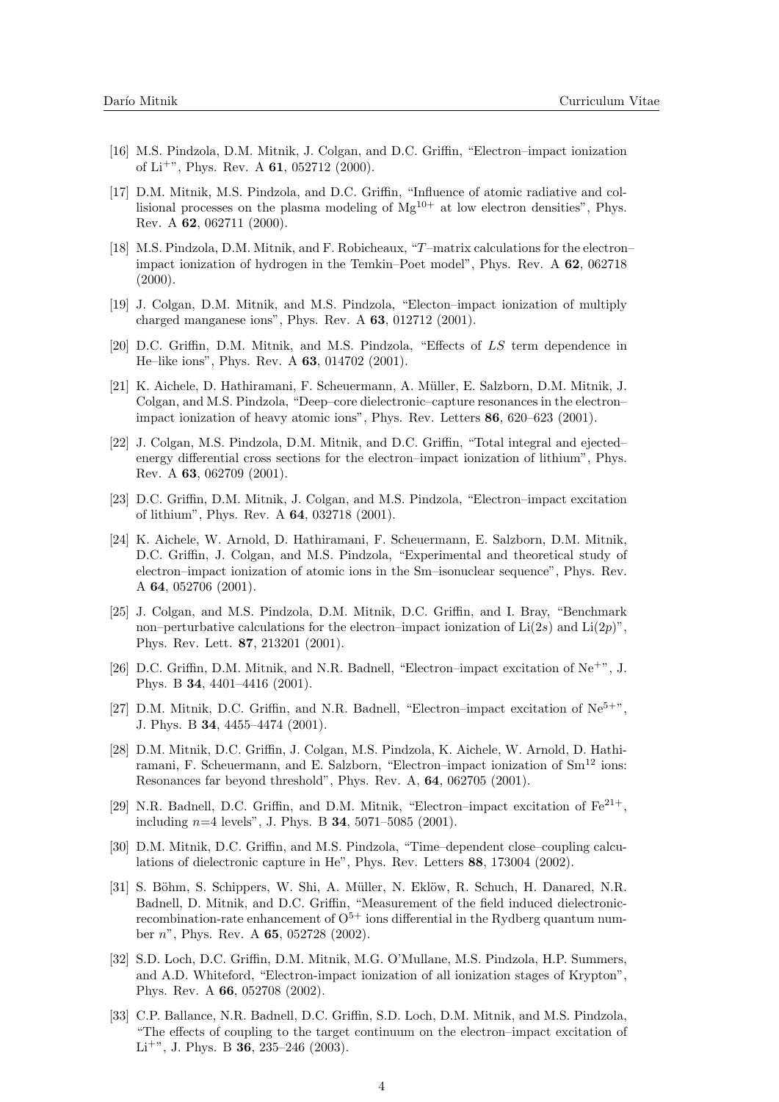- [16] M.S. Pindzola, D.M. Mitnik, J. Colgan, and D.C. Griffin, "Electron–impact ionization of Li<sup>+"</sup>, Phys. Rev. A  $61$ , 052712 (2000).
- [17] D.M. Mitnik, M.S. Pindzola, and D.C. Griffin, "Influence of atomic radiative and collisional processes on the plasma modeling of  $Mg^{10+}$  at low electron densities", Phys. Rev. A 62, 062711 (2000).
- [18] M.S. Pindzola, D.M. Mitnik, and F. Robicheaux, "T–matrix calculations for the electron– impact ionization of hydrogen in the Temkin–Poet model", Phys. Rev. A 62, 062718  $(2000).$
- [19] J. Colgan, D.M. Mitnik, and M.S. Pindzola, "Electon–impact ionization of multiply charged manganese ions", Phys. Rev. A 63, 012712 (2001).
- [20] D.C. Griffin, D.M. Mitnik, and M.S. Pindzola, "Effects of LS term dependence in He–like ions", Phys. Rev. A 63, 014702 (2001).
- [21] K. Aichele, D. Hathiramani, F. Scheuermann, A. M¨uller, E. Salzborn, D.M. Mitnik, J. Colgan, and M.S. Pindzola, "Deep–core dielectronic–capture resonances in the electron– impact ionization of heavy atomic ions", Phys. Rev. Letters 86, 620–623 (2001).
- [22] J. Colgan, M.S. Pindzola, D.M. Mitnik, and D.C. Griffin, "Total integral and ejected– energy differential cross sections for the electron–impact ionization of lithium", Phys. Rev. A 63, 062709 (2001).
- [23] D.C. Griffin, D.M. Mitnik, J. Colgan, and M.S. Pindzola, "Electron–impact excitation of lithium", Phys. Rev. A 64, 032718 (2001).
- [24] K. Aichele, W. Arnold, D. Hathiramani, F. Scheuermann, E. Salzborn, D.M. Mitnik, D.C. Griffin, J. Colgan, and M.S. Pindzola, "Experimental and theoretical study of electron–impact ionization of atomic ions in the Sm–isonuclear sequence", Phys. Rev. A 64, 052706 (2001).
- [25] J. Colgan, and M.S. Pindzola, D.M. Mitnik, D.C. Griffin, and I. Bray, "Benchmark non–perturbative calculations for the electron–impact ionization of  $Li(2s)$  and  $Li(2p)$ ", Phys. Rev. Lett. 87, 213201 (2001).
- [26] D.C. Griffin, D.M. Mitnik, and N.R. Badnell, "Electron–impact excitation of Ne+", J. Phys. B 34, 4401–4416 (2001).
- [27] D.M. Mitnik, D.C. Griffin, and N.R. Badnell, "Electron–impact excitation of  $Ne^{5+\nu}$ , J. Phys. B 34, 4455–4474 (2001).
- [28] D.M. Mitnik, D.C. Griffin, J. Colgan, M.S. Pindzola, K. Aichele, W. Arnold, D. Hathiramani, F. Scheuermann, and E. Salzborn, "Electron–impact ionization of  $Sm<sup>12</sup>$  ions: Resonances far beyond threshold", Phys. Rev. A, 64, 062705 (2001).
- [29] N.R. Badnell, D.C. Griffin, and D.M. Mitnik, "Electron–impact excitation of  $Fe^{21+}$ , including  $n=4$  levels", J. Phys. B  $34$ , 5071–5085 (2001).
- [30] D.M. Mitnik, D.C. Griffin, and M.S. Pindzola, "Time–dependent close–coupling calculations of dielectronic capture in He", Phys. Rev. Letters 88, 173004 (2002).
- [31] S. Böhm, S. Schippers, W. Shi, A. Müller, N. Eklöw, R. Schuch, H. Danared, N.R. Badnell, D. Mitnik, and D.C. Griffin, "Measurement of the field induced dielectronicrecombination-rate enhancement of  $O<sup>5+</sup>$  ions differential in the Rydberg quantum number n", Phys. Rev. A 65, 052728 (2002).
- [32] S.D. Loch, D.C. Griffin, D.M. Mitnik, M.G. O'Mullane, M.S. Pindzola, H.P. Summers, and A.D. Whiteford, "Electron-impact ionization of all ionization stages of Krypton", Phys. Rev. A 66, 052708 (2002).
- [33] C.P. Ballance, N.R. Badnell, D.C. Griffin, S.D. Loch, D.M. Mitnik, and M.S. Pindzola, "The effects of coupling to the target continuum on the electron–impact excitation of Li<sup>+"</sup>, J. Phys. B **36**, 235–246 (2003).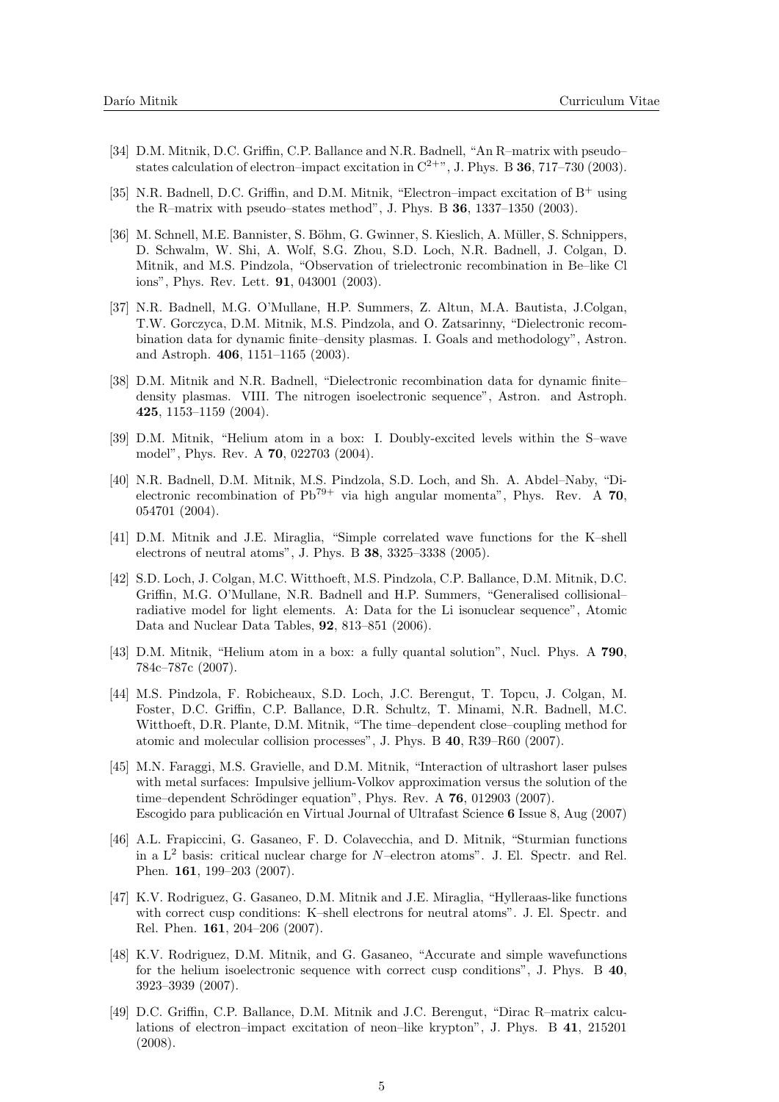- [34] D.M. Mitnik, D.C. Griffin, C.P. Ballance and N.R. Badnell, "An R–matrix with pseudo– states calculation of electron–impact excitation in  $C^{2+\nu}$ , J. Phys. B 36, 717–730 (2003).
- [35] N.R. Badnell, D.C. Griffin, and D.M. Mitnik, "Electron–impact excitation of  $B^+$  using the R–matrix with pseudo–states method", J. Phys. B 36, 1337–1350 (2003).
- [36] M. Schnell, M.E. Bannister, S. Böhm, G. Gwinner, S. Kieslich, A. Müller, S. Schnippers, D. Schwalm, W. Shi, A. Wolf, S.G. Zhou, S.D. Loch, N.R. Badnell, J. Colgan, D. Mitnik, and M.S. Pindzola, "Observation of trielectronic recombination in Be–like Cl ions", Phys. Rev. Lett. 91, 043001 (2003).
- [37] N.R. Badnell, M.G. O'Mullane, H.P. Summers, Z. Altun, M.A. Bautista, J.Colgan, T.W. Gorczyca, D.M. Mitnik, M.S. Pindzola, and O. Zatsarinny, "Dielectronic recombination data for dynamic finite–density plasmas. I. Goals and methodology", Astron. and Astroph. 406, 1151–1165 (2003).
- [38] D.M. Mitnik and N.R. Badnell, "Dielectronic recombination data for dynamic finite– density plasmas. VIII. The nitrogen isoelectronic sequence", Astron. and Astroph. 425, 1153–1159 (2004).
- [39] D.M. Mitnik, "Helium atom in a box: I. Doubly-excited levels within the S–wave model", Phys. Rev. A 70, 022703 (2004).
- [40] N.R. Badnell, D.M. Mitnik, M.S. Pindzola, S.D. Loch, and Sh. A. Abdel–Naby, "Dielectronic recombination of  $Pb^{79+}$  via high angular momenta", Phys. Rev. A 70, 054701 (2004).
- [41] D.M. Mitnik and J.E. Miraglia, "Simple correlated wave functions for the K–shell electrons of neutral atoms", J. Phys. B 38, 3325–3338 (2005).
- [42] S.D. Loch, J. Colgan, M.C. Witthoeft, M.S. Pindzola, C.P. Ballance, D.M. Mitnik, D.C. Griffin, M.G. O'Mullane, N.R. Badnell and H.P. Summers, "Generalised collisional– radiative model for light elements. A: Data for the Li isonuclear sequence", Atomic Data and Nuclear Data Tables, 92, 813–851 (2006).
- [43] D.M. Mitnik, "Helium atom in a box: a fully quantal solution", Nucl. Phys. A 790, 784c–787c (2007).
- [44] M.S. Pindzola, F. Robicheaux, S.D. Loch, J.C. Berengut, T. Topcu, J. Colgan, M. Foster, D.C. Griffin, C.P. Ballance, D.R. Schultz, T. Minami, N.R. Badnell, M.C. Witthoeft, D.R. Plante, D.M. Mitnik, "The time–dependent close–coupling method for atomic and molecular collision processes", J. Phys. B 40, R39–R60 (2007).
- [45] M.N. Faraggi, M.S. Gravielle, and D.M. Mitnik, "Interaction of ultrashort laser pulses with metal surfaces: Impulsive jellium-Volkov approximation versus the solution of the time–dependent Schrödinger equation", Phys. Rev. A  $76$ , 012903 (2007). Escogido para publicación en Virtual Journal of Ultrafast Science 6 Issue 8, Aug (2007)
- [46] A.L. Frapiccini, G. Gasaneo, F. D. Colavecchia, and D. Mitnik, "Sturmian functions in a  $L^2$  basis: critical nuclear charge for N–electron atoms". J. El. Spectr. and Rel. Phen. 161, 199–203 (2007).
- [47] K.V. Rodriguez, G. Gasaneo, D.M. Mitnik and J.E. Miraglia, "Hylleraas-like functions with correct cusp conditions: K–shell electrons for neutral atoms". J. El. Spectr. and Rel. Phen. 161, 204–206 (2007).
- [48] K.V. Rodriguez, D.M. Mitnik, and G. Gasaneo, "Accurate and simple wavefunctions for the helium isoelectronic sequence with correct cusp conditions", J. Phys. B 40, 3923–3939 (2007).
- [49] D.C. Griffin, C.P. Ballance, D.M. Mitnik and J.C. Berengut, "Dirac R–matrix calculations of electron–impact excitation of neon–like krypton", J. Phys. B 41, 215201 (2008).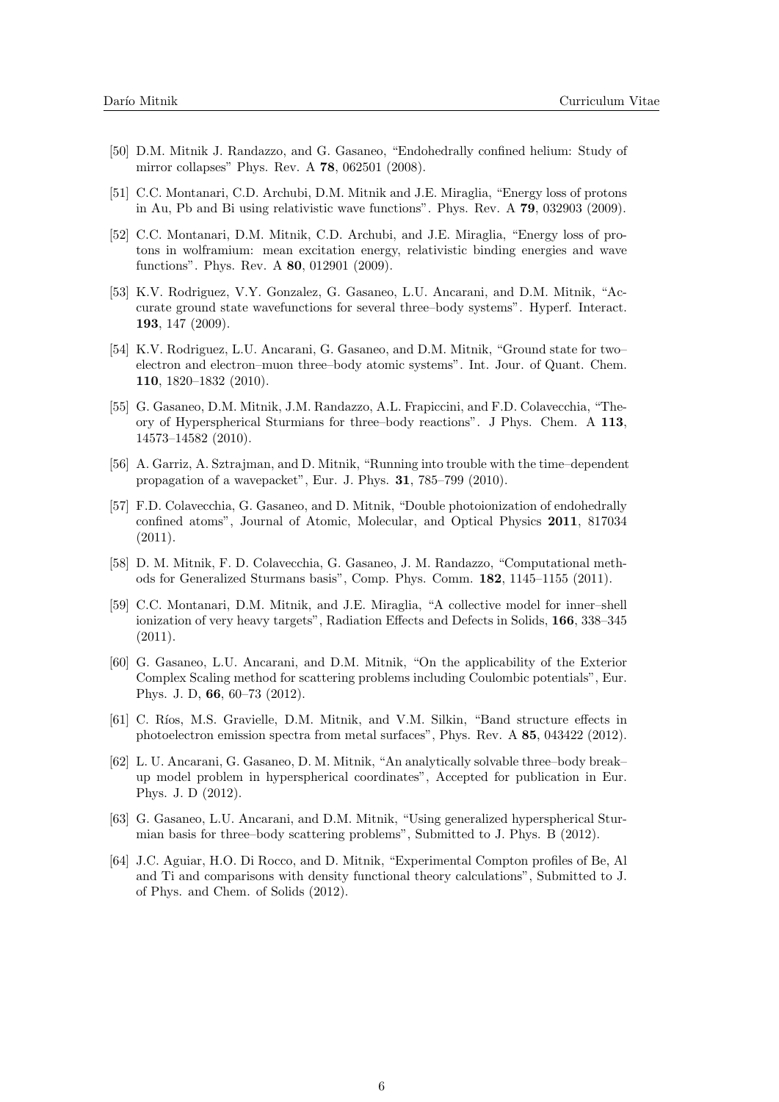- [50] D.M. Mitnik J. Randazzo, and G. Gasaneo, "Endohedrally confined helium: Study of mirror collapses" Phys. Rev. A 78, 062501 (2008).
- [51] C.C. Montanari, C.D. Archubi, D.M. Mitnik and J.E. Miraglia, "Energy loss of protons in Au, Pb and Bi using relativistic wave functions". Phys. Rev. A 79, 032903 (2009).
- [52] C.C. Montanari, D.M. Mitnik, C.D. Archubi, and J.E. Miraglia, "Energy loss of protons in wolframium: mean excitation energy, relativistic binding energies and wave functions". Phys. Rev. A 80, 012901 (2009).
- [53] K.V. Rodriguez, V.Y. Gonzalez, G. Gasaneo, L.U. Ancarani, and D.M. Mitnik, "Accurate ground state wavefunctions for several three–body systems". Hyperf. Interact. 193, 147 (2009).
- [54] K.V. Rodriguez, L.U. Ancarani, G. Gasaneo, and D.M. Mitnik, "Ground state for two– electron and electron–muon three–body atomic systems". Int. Jour. of Quant. Chem. 110, 1820–1832 (2010).
- [55] G. Gasaneo, D.M. Mitnik, J.M. Randazzo, A.L. Frapiccini, and F.D. Colavecchia, "Theory of Hyperspherical Sturmians for three–body reactions". J Phys. Chem. A 113, 14573–14582 (2010).
- [56] A. Garriz, A. Sztrajman, and D. Mitnik, "Running into trouble with the time–dependent propagation of a wavepacket", Eur. J. Phys. 31, 785–799 (2010).
- [57] F.D. Colavecchia, G. Gasaneo, and D. Mitnik, "Double photoionization of endohedrally confined atoms", Journal of Atomic, Molecular, and Optical Physics 2011, 817034 (2011).
- [58] D. M. Mitnik, F. D. Colavecchia, G. Gasaneo, J. M. Randazzo, "Computational methods for Generalized Sturmans basis", Comp. Phys. Comm. 182, 1145–1155 (2011).
- [59] C.C. Montanari, D.M. Mitnik, and J.E. Miraglia, "A collective model for inner–shell ionization of very heavy targets", Radiation Effects and Defects in Solids, 166, 338–345  $(2011).$
- [60] G. Gasaneo, L.U. Ancarani, and D.M. Mitnik, "On the applicability of the Exterior Complex Scaling method for scattering problems including Coulombic potentials", Eur. Phys. J. D, 66, 60–73 (2012).
- [61] C. Ríos, M.S. Gravielle, D.M. Mitnik, and V.M. Silkin, "Band structure effects in photoelectron emission spectra from metal surfaces", Phys. Rev. A 85, 043422 (2012).
- [62] L. U. Ancarani, G. Gasaneo, D. M. Mitnik, "An analytically solvable three–body break– up model problem in hyperspherical coordinates", Accepted for publication in Eur. Phys. J. D (2012).
- [63] G. Gasaneo, L.U. Ancarani, and D.M. Mitnik, "Using generalized hyperspherical Sturmian basis for three–body scattering problems", Submitted to J. Phys. B (2012).
- [64] J.C. Aguiar, H.O. Di Rocco, and D. Mitnik, "Experimental Compton profiles of Be, Al and Ti and comparisons with density functional theory calculations", Submitted to J. of Phys. and Chem. of Solids (2012).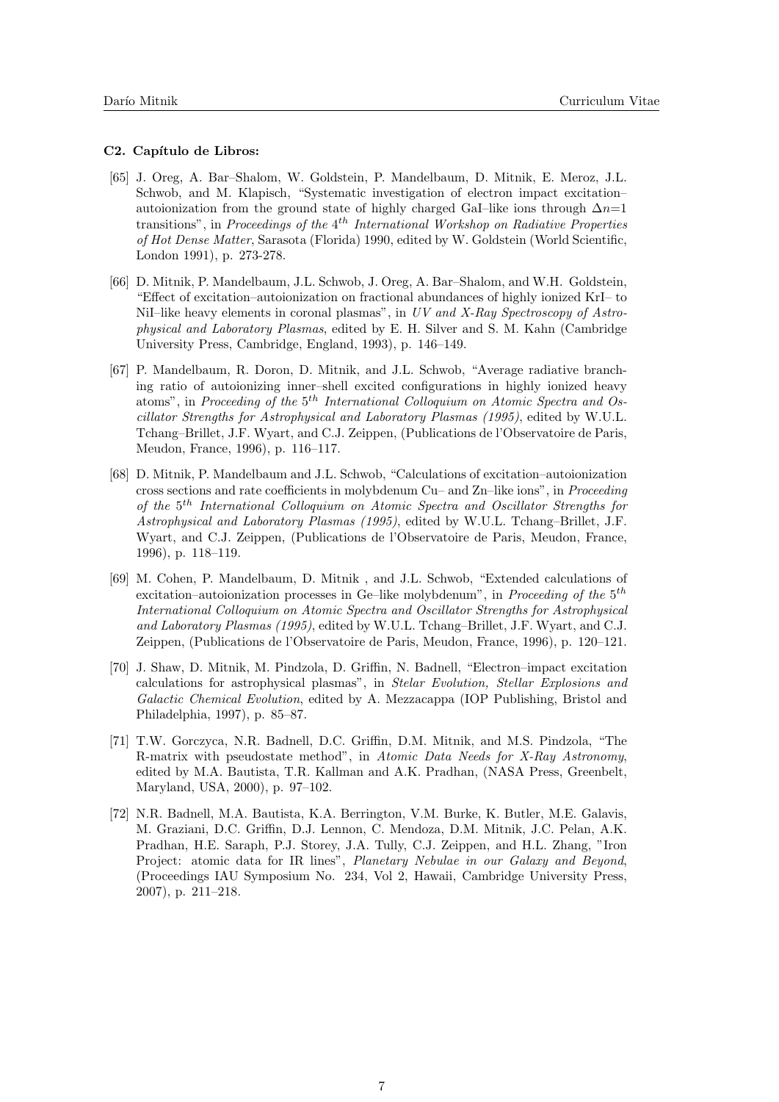#### C2. Capítulo de Libros:

- [65] J. Oreg, A. Bar–Shalom, W. Goldstein, P. Mandelbaum, D. Mitnik, E. Meroz, J.L. Schwob, and M. Klapisch, "Systematic investigation of electron impact excitation– autoionization from the ground state of highly charged GaI–like ions through  $\Delta n=1$ transitions", in Proceedings of the  $4^{th}$  International Workshop on Radiative Properties of Hot Dense Matter, Sarasota (Florida) 1990, edited by W. Goldstein (World Scientific, London 1991), p. 273-278.
- [66] D. Mitnik, P. Mandelbaum, J.L. Schwob, J. Oreg, A. Bar–Shalom, and W.H. Goldstein, "Effect of excitation–autoionization on fractional abundances of highly ionized KrI– to NiI–like heavy elements in coronal plasmas", in UV and X-Ray Spectroscopy of Astrophysical and Laboratory Plasmas, edited by E. H. Silver and S. M. Kahn (Cambridge University Press, Cambridge, England, 1993), p. 146–149.
- [67] P. Mandelbaum, R. Doron, D. Mitnik, and J.L. Schwob, "Average radiative branching ratio of autoionizing inner–shell excited configurations in highly ionized heavy atoms", in Proceeding of the  $5<sup>th</sup>$  International Colloquium on Atomic Spectra and Oscillator Strengths for Astrophysical and Laboratory Plasmas (1995), edited by W.U.L. Tchang–Brillet, J.F. Wyart, and C.J. Zeippen, (Publications de l'Observatoire de Paris, Meudon, France, 1996), p. 116–117.
- [68] D. Mitnik, P. Mandelbaum and J.L. Schwob, "Calculations of excitation–autoionization cross sections and rate coefficients in molybdenum Cu– and Zn–like ions", in Proceeding of the 5<sup>th</sup> International Colloquium on Atomic Spectra and Oscillator Strengths for Astrophysical and Laboratory Plasmas (1995), edited by W.U.L. Tchang–Brillet, J.F. Wyart, and C.J. Zeippen, (Publications de l'Observatoire de Paris, Meudon, France, 1996), p. 118–119.
- [69] M. Cohen, P. Mandelbaum, D. Mitnik , and J.L. Schwob, "Extended calculations of excitation–autoionization processes in Ge–like molybdenum", in *Proceeding of the*  $5<sup>th</sup>$ International Colloquium on Atomic Spectra and Oscillator Strengths for Astrophysical and Laboratory Plasmas (1995), edited by W.U.L. Tchang–Brillet, J.F. Wyart, and C.J. Zeippen, (Publications de l'Observatoire de Paris, Meudon, France, 1996), p. 120–121.
- [70] J. Shaw, D. Mitnik, M. Pindzola, D. Griffin, N. Badnell, "Electron–impact excitation calculations for astrophysical plasmas", in Stelar Evolution, Stellar Explosions and Galactic Chemical Evolution, edited by A. Mezzacappa (IOP Publishing, Bristol and Philadelphia, 1997), p. 85–87.
- [71] T.W. Gorczyca, N.R. Badnell, D.C. Griffin, D.M. Mitnik, and M.S. Pindzola, "The R-matrix with pseudostate method", in Atomic Data Needs for X-Ray Astronomy, edited by M.A. Bautista, T.R. Kallman and A.K. Pradhan, (NASA Press, Greenbelt, Maryland, USA, 2000), p. 97–102.
- [72] N.R. Badnell, M.A. Bautista, K.A. Berrington, V.M. Burke, K. Butler, M.E. Galavis, M. Graziani, D.C. Griffin, D.J. Lennon, C. Mendoza, D.M. Mitnik, J.C. Pelan, A.K. Pradhan, H.E. Saraph, P.J. Storey, J.A. Tully, C.J. Zeippen, and H.L. Zhang, "Iron Project: atomic data for IR lines", Planetary Nebulae in our Galaxy and Beyond, (Proceedings IAU Symposium No. 234, Vol 2, Hawaii, Cambridge University Press, 2007), p. 211–218.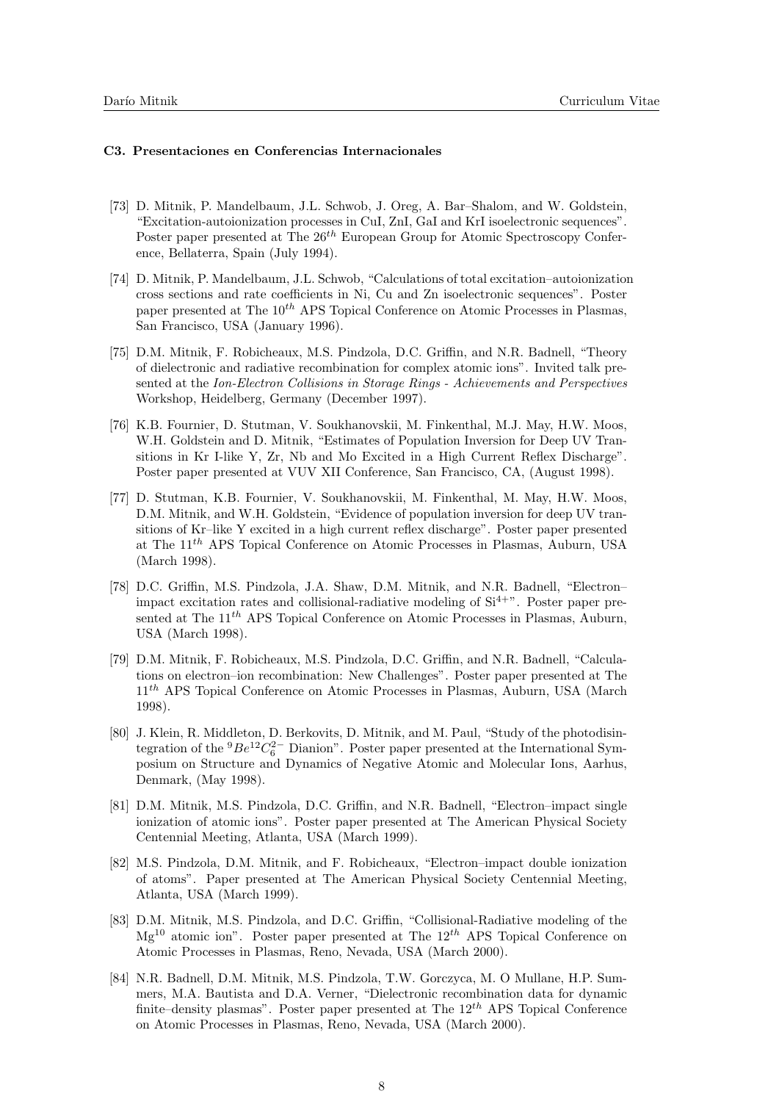#### C3. Presentaciones en Conferencias Internacionales

- [73] D. Mitnik, P. Mandelbaum, J.L. Schwob, J. Oreg, A. Bar–Shalom, and W. Goldstein, "Excitation-autoionization processes in CuI, ZnI, GaI and KrI isoelectronic sequences". Poster paper presented at The  $26<sup>th</sup>$  European Group for Atomic Spectroscopy Conference, Bellaterra, Spain (July 1994).
- [74] D. Mitnik, P. Mandelbaum, J.L. Schwob, "Calculations of total excitation–autoionization cross sections and rate coefficients in Ni, Cu and Zn isoelectronic sequences". Poster paper presented at The  $10^{th}$  APS Topical Conference on Atomic Processes in Plasmas, San Francisco, USA (January 1996).
- [75] D.M. Mitnik, F. Robicheaux, M.S. Pindzola, D.C. Griffin, and N.R. Badnell, "Theory of dielectronic and radiative recombination for complex atomic ions". Invited talk presented at the Ion-Electron Collisions in Storage Rings - Achievements and Perspectives Workshop, Heidelberg, Germany (December 1997).
- [76] K.B. Fournier, D. Stutman, V. Soukhanovskii, M. Finkenthal, M.J. May, H.W. Moos, W.H. Goldstein and D. Mitnik, "Estimates of Population Inversion for Deep UV Transitions in Kr I-like Y, Zr, Nb and Mo Excited in a High Current Reflex Discharge". Poster paper presented at VUV XII Conference, San Francisco, CA, (August 1998).
- [77] D. Stutman, K.B. Fournier, V. Soukhanovskii, M. Finkenthal, M. May, H.W. Moos, D.M. Mitnik, and W.H. Goldstein, "Evidence of population inversion for deep UV transitions of Kr–like Y excited in a high current reflex discharge". Poster paper presented at The  $11^{th}$  APS Topical Conference on Atomic Processes in Plasmas, Auburn, USA (March 1998).
- [78] D.C. Griffin, M.S. Pindzola, J.A. Shaw, D.M. Mitnik, and N.R. Badnell, "Electron– impact excitation rates and collisional-radiative modeling of  $Si<sup>4+</sup>$ . Poster paper presented at The  $11^{th}$  APS Topical Conference on Atomic Processes in Plasmas, Auburn, USA (March 1998).
- [79] D.M. Mitnik, F. Robicheaux, M.S. Pindzola, D.C. Griffin, and N.R. Badnell, "Calculations on electron–ion recombination: New Challenges". Poster paper presented at The 11th APS Topical Conference on Atomic Processes in Plasmas, Auburn, USA (March 1998).
- [80] J. Klein, R. Middleton, D. Berkovits, D. Mitnik, and M. Paul, "Study of the photodisintegration of the  ${}^{9}Be^{12}C_6^{2-}$  Dianion". Poster paper presented at the International Symposium on Structure and Dynamics of Negative Atomic and Molecular Ions, Aarhus, Denmark, (May 1998).
- [81] D.M. Mitnik, M.S. Pindzola, D.C. Griffin, and N.R. Badnell, "Electron–impact single ionization of atomic ions". Poster paper presented at The American Physical Society Centennial Meeting, Atlanta, USA (March 1999).
- [82] M.S. Pindzola, D.M. Mitnik, and F. Robicheaux, "Electron–impact double ionization of atoms". Paper presented at The American Physical Society Centennial Meeting, Atlanta, USA (March 1999).
- [83] D.M. Mitnik, M.S. Pindzola, and D.C. Griffin, "Collisional-Radiative modeling of the  $Mg^{10}$  atomic ion". Poster paper presented at The  $12^{th}$  APS Topical Conference on Atomic Processes in Plasmas, Reno, Nevada, USA (March 2000).
- [84] N.R. Badnell, D.M. Mitnik, M.S. Pindzola, T.W. Gorczyca, M. O Mullane, H.P. Summers, M.A. Bautista and D.A. Verner, "Dielectronic recombination data for dynamic finite–density plasmas". Poster paper presented at The  $12^{th}$  APS Topical Conference on Atomic Processes in Plasmas, Reno, Nevada, USA (March 2000).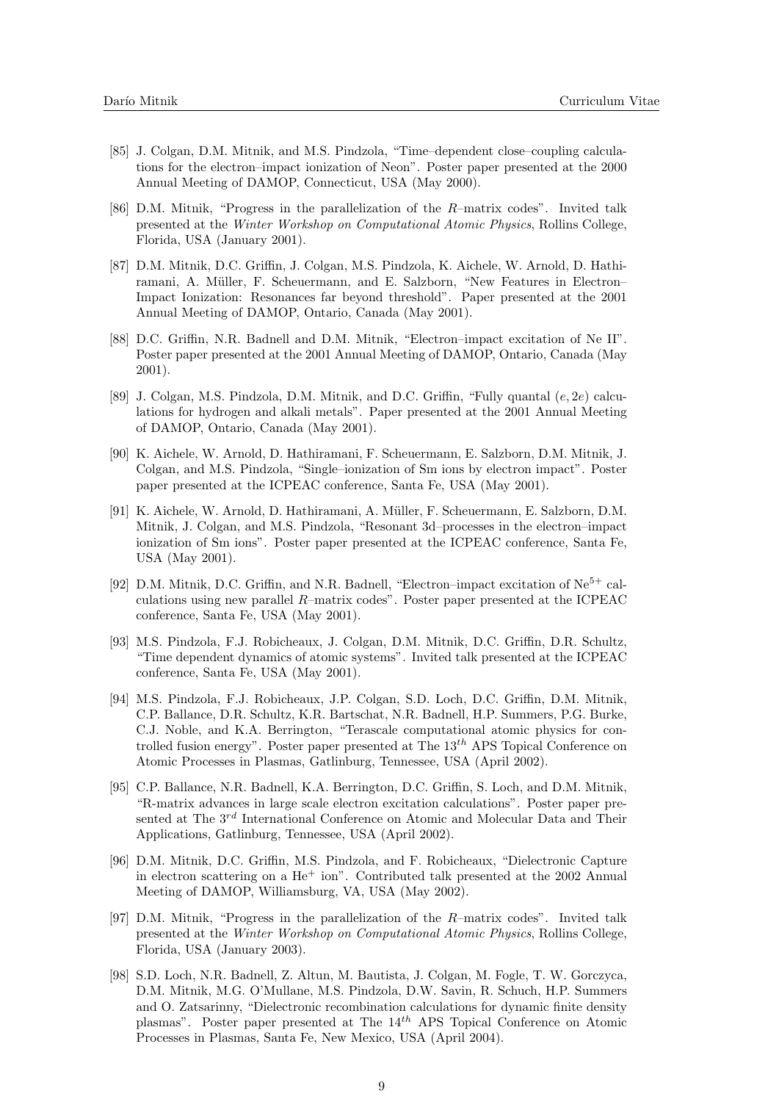- [85] J. Colgan, D.M. Mitnik, and M.S. Pindzola, "Time–dependent close–coupling calculations for the electron–impact ionization of Neon". Poster paper presented at the 2000 Annual Meeting of DAMOP, Connecticut, USA (May 2000).
- [86] D.M. Mitnik, "Progress in the parallelization of the R–matrix codes". Invited talk presented at the Winter Workshop on Computational Atomic Physics, Rollins College, Florida, USA (January 2001).
- [87] D.M. Mitnik, D.C. Griffin, J. Colgan, M.S. Pindzola, K. Aichele, W. Arnold, D. Hathiramani, A. Müller, F. Scheuermann, and E. Salzborn, "New Features in Electron-Impact Ionization: Resonances far beyond threshold". Paper presented at the 2001 Annual Meeting of DAMOP, Ontario, Canada (May 2001).
- [88] D.C. Griffin, N.R. Badnell and D.M. Mitnik, "Electron–impact excitation of Ne II". Poster paper presented at the 2001 Annual Meeting of DAMOP, Ontario, Canada (May 2001).
- [89] J. Colgan, M.S. Pindzola, D.M. Mitnik, and D.C. Griffin, "Fully quantal  $(e, 2e)$  calculations for hydrogen and alkali metals". Paper presented at the 2001 Annual Meeting of DAMOP, Ontario, Canada (May 2001).
- [90] K. Aichele, W. Arnold, D. Hathiramani, F. Scheuermann, E. Salzborn, D.M. Mitnik, J. Colgan, and M.S. Pindzola, "Single–ionization of Sm ions by electron impact". Poster paper presented at the ICPEAC conference, Santa Fe, USA (May 2001).
- [91] K. Aichele, W. Arnold, D. Hathiramani, A. Müller, F. Scheuermann, E. Salzborn, D.M. Mitnik, J. Colgan, and M.S. Pindzola, "Resonant 3d–processes in the electron–impact ionization of Sm ions". Poster paper presented at the ICPEAC conference, Santa Fe, USA (May 2001).
- [92] D.M. Mitnik, D.C. Griffin, and N.R. Badnell, "Electron–impact excitation of Ne5+ calculations using new parallel R–matrix codes". Poster paper presented at the ICPEAC conference, Santa Fe, USA (May 2001).
- [93] M.S. Pindzola, F.J. Robicheaux, J. Colgan, D.M. Mitnik, D.C. Griffin, D.R. Schultz, "Time dependent dynamics of atomic systems". Invited talk presented at the ICPEAC conference, Santa Fe, USA (May 2001).
- [94] M.S. Pindzola, F.J. Robicheaux, J.P. Colgan, S.D. Loch, D.C. Griffin, D.M. Mitnik, C.P. Ballance, D.R. Schultz, K.R. Bartschat, N.R. Badnell, H.P. Summers, P.G. Burke, C.J. Noble, and K.A. Berrington, "Terascale computational atomic physics for controlled fusion energy". Poster paper presented at The  $13<sup>th</sup>$  APS Topical Conference on Atomic Processes in Plasmas, Gatlinburg, Tennessee, USA (April 2002).
- [95] C.P. Ballance, N.R. Badnell, K.A. Berrington, D.C. Griffin, S. Loch, and D.M. Mitnik, "R-matrix advances in large scale electron excitation calculations". Poster paper presented at The  $3^{rd}$  International Conference on Atomic and Molecular Data and Their Applications, Gatlinburg, Tennessee, USA (April 2002).
- [96] D.M. Mitnik, D.C. Griffin, M.S. Pindzola, and F. Robicheaux, "Dielectronic Capture in electron scattering on a  $He<sup>+</sup>$  ion". Contributed talk presented at the 2002 Annual Meeting of DAMOP, Williamsburg, VA, USA (May 2002).
- [97] D.M. Mitnik, "Progress in the parallelization of the R–matrix codes". Invited talk presented at the Winter Workshop on Computational Atomic Physics, Rollins College, Florida, USA (January 2003).
- [98] S.D. Loch, N.R. Badnell, Z. Altun, M. Bautista, J. Colgan, M. Fogle, T. W. Gorczyca, D.M. Mitnik, M.G. O'Mullane, M.S. Pindzola, D.W. Savin, R. Schuch, H.P. Summers and O. Zatsarinny, "Dielectronic recombination calculations for dynamic finite density plasmas". Poster paper presented at The  $14<sup>th</sup>$  APS Topical Conference on Atomic Processes in Plasmas, Santa Fe, New Mexico, USA (April 2004).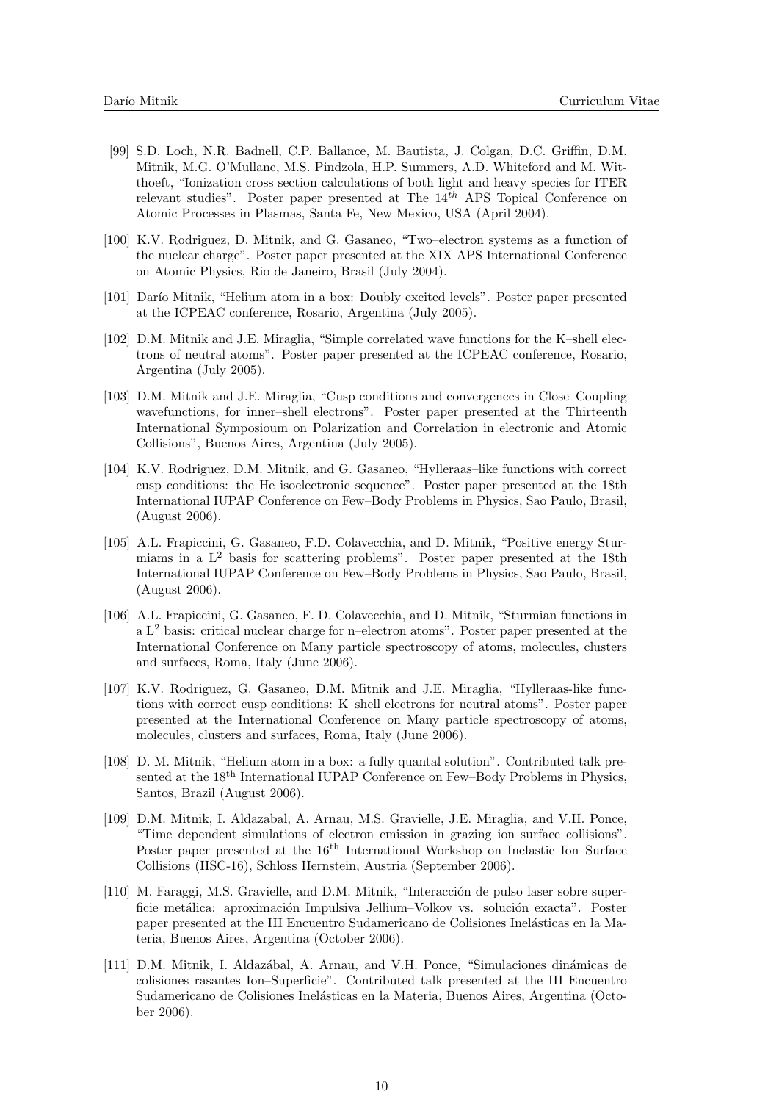- [99] S.D. Loch, N.R. Badnell, C.P. Ballance, M. Bautista, J. Colgan, D.C. Griffin, D.M. Mitnik, M.G. O'Mullane, M.S. Pindzola, H.P. Summers, A.D. Whiteford and M. Witthoeft, "Ionization cross section calculations of both light and heavy species for ITER relevant studies". Poster paper presented at The  $14^{th}$  APS Topical Conference on Atomic Processes in Plasmas, Santa Fe, New Mexico, USA (April 2004).
- [100] K.V. Rodriguez, D. Mitnik, and G. Gasaneo, "Two–electron systems as a function of the nuclear charge". Poster paper presented at the XIX APS International Conference on Atomic Physics, Rio de Janeiro, Brasil (July 2004).
- [101] Darío Mitnik, "Helium atom in a box: Doubly excited levels". Poster paper presented at the ICPEAC conference, Rosario, Argentina (July 2005).
- [102] D.M. Mitnik and J.E. Miraglia, "Simple correlated wave functions for the K–shell electrons of neutral atoms". Poster paper presented at the ICPEAC conference, Rosario, Argentina (July 2005).
- [103] D.M. Mitnik and J.E. Miraglia, "Cusp conditions and convergences in Close–Coupling wavefunctions, for inner–shell electrons". Poster paper presented at the Thirteenth International Symposioum on Polarization and Correlation in electronic and Atomic Collisions", Buenos Aires, Argentina (July 2005).
- [104] K.V. Rodriguez, D.M. Mitnik, and G. Gasaneo, "Hylleraas–like functions with correct cusp conditions: the He isoelectronic sequence". Poster paper presented at the 18th International IUPAP Conference on Few–Body Problems in Physics, Sao Paulo, Brasil, (August 2006).
- [105] A.L. Frapiccini, G. Gasaneo, F.D. Colavecchia, and D. Mitnik, "Positive energy Sturmiams in a  $L^2$  basis for scattering problems". Poster paper presented at the 18th International IUPAP Conference on Few–Body Problems in Physics, Sao Paulo, Brasil, (August 2006).
- [106] A.L. Frapiccini, G. Gasaneo, F. D. Colavecchia, and D. Mitnik, "Sturmian functions in a L<sup>2</sup> basis: critical nuclear charge for n–electron atoms". Poster paper presented at the International Conference on Many particle spectroscopy of atoms, molecules, clusters and surfaces, Roma, Italy (June 2006).
- [107] K.V. Rodriguez, G. Gasaneo, D.M. Mitnik and J.E. Miraglia, "Hylleraas-like functions with correct cusp conditions: K–shell electrons for neutral atoms". Poster paper presented at the International Conference on Many particle spectroscopy of atoms, molecules, clusters and surfaces, Roma, Italy (June 2006).
- [108] D. M. Mitnik, "Helium atom in a box: a fully quantal solution". Contributed talk presented at the 18th International IUPAP Conference on Few–Body Problems in Physics, Santos, Brazil (August 2006).
- [109] D.M. Mitnik, I. Aldazabal, A. Arnau, M.S. Gravielle, J.E. Miraglia, and V.H. Ponce, "Time dependent simulations of electron emission in grazing ion surface collisions". Poster paper presented at the 16<sup>th</sup> International Workshop on Inelastic Ion–Surface Collisions (IISC-16), Schloss Hernstein, Austria (September 2006).
- [110] M. Faraggi, M.S. Gravielle, and D.M. Mitnik, "Interacción de pulso laser sobre superficie metálica: aproximación Impulsiva Jellium–Volkov vs. solución exacta". Poster paper presented at the III Encuentro Sudamericano de Colisiones Inelásticas en la Materia, Buenos Aires, Argentina (October 2006).
- [111] D.M. Mitnik, I. Aldazábal, A. Arnau, and V.H. Ponce, "Simulaciones dinámicas de colisiones rasantes Ion–Superficie". Contributed talk presented at the III Encuentro Sudamericano de Colisiones Inelásticas en la Materia, Buenos Aires, Argentina (October 2006).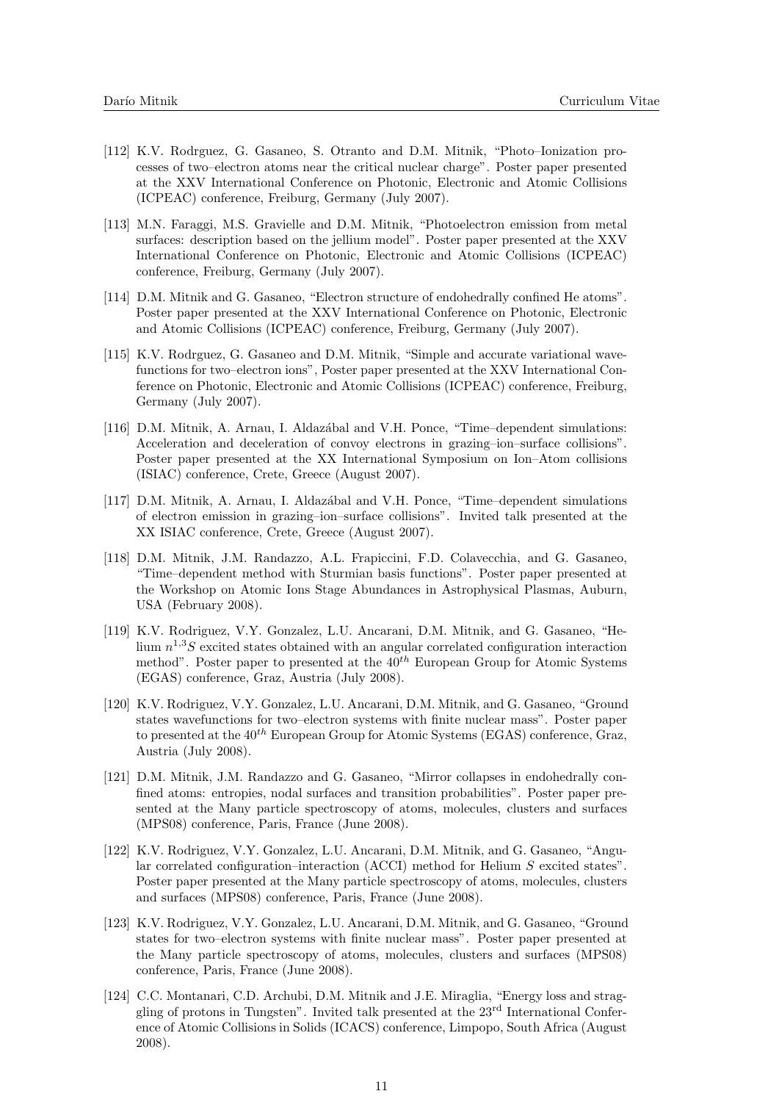- [112] K.V. Rodrguez, G. Gasaneo, S. Otranto and D.M. Mitnik, "Photo–Ionization processes of two–electron atoms near the critical nuclear charge". Poster paper presented at the XXV International Conference on Photonic, Electronic and Atomic Collisions (ICPEAC) conference, Freiburg, Germany (July 2007).
- [113] M.N. Faraggi, M.S. Gravielle and D.M. Mitnik, "Photoelectron emission from metal surfaces: description based on the jellium model". Poster paper presented at the XXV International Conference on Photonic, Electronic and Atomic Collisions (ICPEAC) conference, Freiburg, Germany (July 2007).
- [114] D.M. Mitnik and G. Gasaneo, "Electron structure of endohedrally confined He atoms". Poster paper presented at the XXV International Conference on Photonic, Electronic and Atomic Collisions (ICPEAC) conference, Freiburg, Germany (July 2007).
- [115] K.V. Rodrguez, G. Gasaneo and D.M. Mitnik, "Simple and accurate variational wavefunctions for two–electron ions", Poster paper presented at the XXV International Conference on Photonic, Electronic and Atomic Collisions (ICPEAC) conference, Freiburg, Germany (July 2007).
- [116] D.M. Mitnik, A. Arnau, I. Aldazábal and V.H. Ponce, "Time–dependent simulations: Acceleration and deceleration of convoy electrons in grazing–ion–surface collisions". Poster paper presented at the XX International Symposium on Ion–Atom collisions (ISIAC) conference, Crete, Greece (August 2007).
- [117] D.M. Mitnik, A. Arnau, I. Aldazábal and V.H. Ponce, "Time–dependent simulations of electron emission in grazing–ion–surface collisions". Invited talk presented at the XX ISIAC conference, Crete, Greece (August 2007).
- [118] D.M. Mitnik, J.M. Randazzo, A.L. Frapiccini, F.D. Colavecchia, and G. Gasaneo, "Time–dependent method with Sturmian basis functions". Poster paper presented at the Workshop on Atomic Ions Stage Abundances in Astrophysical Plasmas, Auburn, USA (February 2008).
- [119] K.V. Rodriguez, V.Y. Gonzalez, L.U. Ancarani, D.M. Mitnik, and G. Gasaneo, "Helium  $n^{1,3}S$  excited states obtained with an angular correlated configuration interaction method". Poster paper to presented at the  $40^{th}$  European Group for Atomic Systems (EGAS) conference, Graz, Austria (July 2008).
- [120] K.V. Rodriguez, V.Y. Gonzalez, L.U. Ancarani, D.M. Mitnik, and G. Gasaneo, "Ground states wavefunctions for two–electron systems with finite nuclear mass". Poster paper to presented at the  $40^{th}$  European Group for Atomic Systems (EGAS) conference, Graz, Austria (July 2008).
- [121] D.M. Mitnik, J.M. Randazzo and G. Gasaneo, "Mirror collapses in endohedrally confined atoms: entropies, nodal surfaces and transition probabilities". Poster paper presented at the Many particle spectroscopy of atoms, molecules, clusters and surfaces (MPS08) conference, Paris, France (June 2008).
- [122] K.V. Rodriguez, V.Y. Gonzalez, L.U. Ancarani, D.M. Mitnik, and G. Gasaneo, "Angular correlated configuration–interaction (ACCI) method for Helium S excited states". Poster paper presented at the Many particle spectroscopy of atoms, molecules, clusters and surfaces (MPS08) conference, Paris, France (June 2008).
- [123] K.V. Rodriguez, V.Y. Gonzalez, L.U. Ancarani, D.M. Mitnik, and G. Gasaneo, "Ground states for two–electron systems with finite nuclear mass". Poster paper presented at the Many particle spectroscopy of atoms, molecules, clusters and surfaces (MPS08) conference, Paris, France (June 2008).
- [124] C.C. Montanari, C.D. Archubi, D.M. Mitnik and J.E. Miraglia, "Energy loss and straggling of protons in Tungsten". Invited talk presented at the 23rd International Conference of Atomic Collisions in Solids (ICACS) conference, Limpopo, South Africa (August 2008).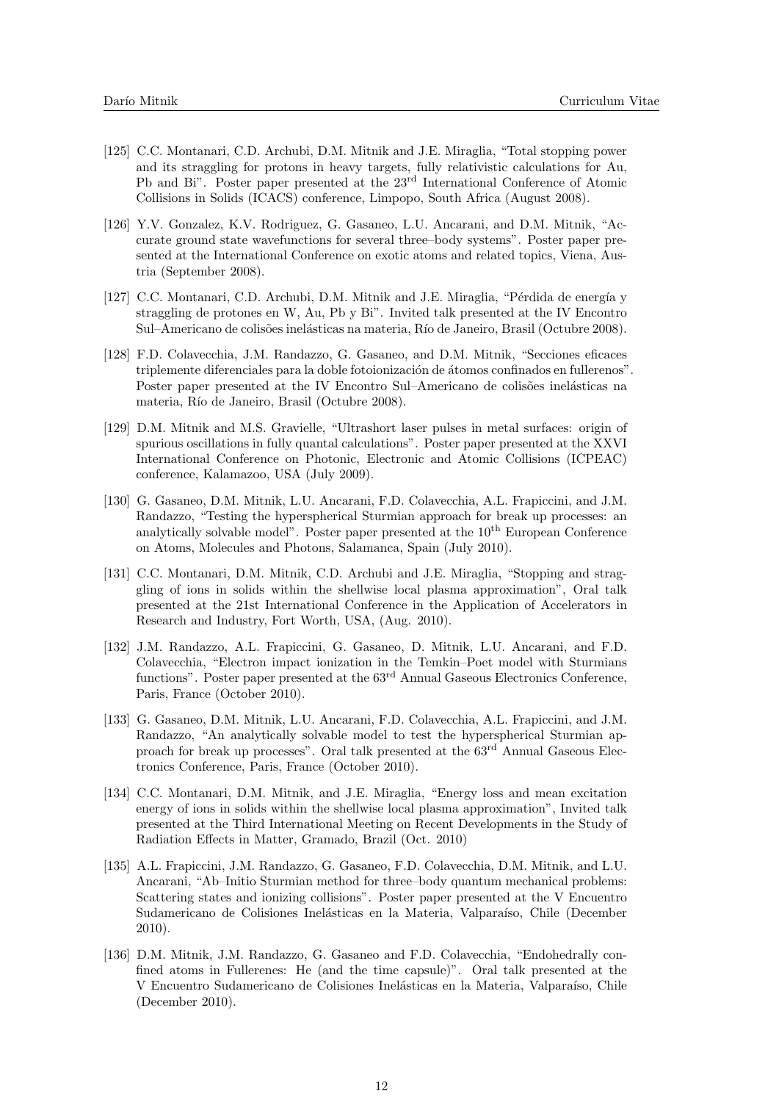- [125] C.C. Montanari, C.D. Archubi, D.M. Mitnik and J.E. Miraglia, "Total stopping power and its straggling for protons in heavy targets, fully relativistic calculations for Au, Pb and Bi". Poster paper presented at the 23rd International Conference of Atomic Collisions in Solids (ICACS) conference, Limpopo, South Africa (August 2008).
- [126] Y.V. Gonzalez, K.V. Rodriguez, G. Gasaneo, L.U. Ancarani, and D.M. Mitnik, "Accurate ground state wavefunctions for several three–body systems". Poster paper presented at the International Conference on exotic atoms and related topics, Viena, Austria (September 2008).
- [127] C.C. Montanari, C.D. Archubi, D.M. Mitnik and J.E. Miraglia, "Pérdida de energía y straggling de protones en W, Au, Pb y Bi". Invited talk presented at the IV Encontro Sul–Americano de colisões inelásticas na materia, Río de Janeiro, Brasil (Octubre 2008).
- [128] F.D. Colavecchia, J.M. Randazzo, G. Gasaneo, and D.M. Mitnik, "Secciones eficaces triplemente diferenciales para la doble fotoionización de átomos confinados en fullerenos". Poster paper presented at the IV Encontro Sul–Americano de colisões inelásticas na materia, Río de Janeiro, Brasil (Octubre 2008).
- [129] D.M. Mitnik and M.S. Gravielle, "Ultrashort laser pulses in metal surfaces: origin of spurious oscillations in fully quantal calculations". Poster paper presented at the XXVI International Conference on Photonic, Electronic and Atomic Collisions (ICPEAC) conference, Kalamazoo, USA (July 2009).
- [130] G. Gasaneo, D.M. Mitnik, L.U. Ancarani, F.D. Colavecchia, A.L. Frapiccini, and J.M. Randazzo, "Testing the hyperspherical Sturmian approach for break up processes: an analytically solvable model". Poster paper presented at the  $10<sup>th</sup>$  European Conference on Atoms, Molecules and Photons, Salamanca, Spain (July 2010).
- [131] C.C. Montanari, D.M. Mitnik, C.D. Archubi and J.E. Miraglia, "Stopping and straggling of ions in solids within the shellwise local plasma approximation", Oral talk presented at the 21st International Conference in the Application of Accelerators in Research and Industry, Fort Worth, USA, (Aug. 2010).
- [132] J.M. Randazzo, A.L. Frapiccini, G. Gasaneo, D. Mitnik, L.U. Ancarani, and F.D. Colavecchia, "Electron impact ionization in the Temkin–Poet model with Sturmians functions". Poster paper presented at the  $63<sup>rd</sup>$  Annual Gaseous Electronics Conference, Paris, France (October 2010).
- [133] G. Gasaneo, D.M. Mitnik, L.U. Ancarani, F.D. Colavecchia, A.L. Frapiccini, and J.M. Randazzo, "An analytically solvable model to test the hyperspherical Sturmian approach for break up processes". Oral talk presented at the  $63<sup>rd</sup>$  Annual Gaseous Electronics Conference, Paris, France (October 2010).
- [134] C.C. Montanari, D.M. Mitnik, and J.E. Miraglia, "Energy loss and mean excitation energy of ions in solids within the shellwise local plasma approximation", Invited talk presented at the Third International Meeting on Recent Developments in the Study of Radiation Effects in Matter, Gramado, Brazil (Oct. 2010)
- [135] A.L. Frapiccini, J.M. Randazzo, G. Gasaneo, F.D. Colavecchia, D.M. Mitnik, and L.U. Ancarani, "Ab–Initio Sturmian method for three–body quantum mechanical problems: Scattering states and ionizing collisions". Poster paper presented at the V Encuentro Sudamericano de Colisiones Inelásticas en la Materia, Valparaíso, Chile (December 2010).
- [136] D.M. Mitnik, J.M. Randazzo, G. Gasaneo and F.D. Colavecchia, "Endohedrally confined atoms in Fullerenes: He (and the time capsule)". Oral talk presented at the V Encuentro Sudamericano de Colisiones Inelásticas en la Materia, Valparaíso, Chile (December 2010).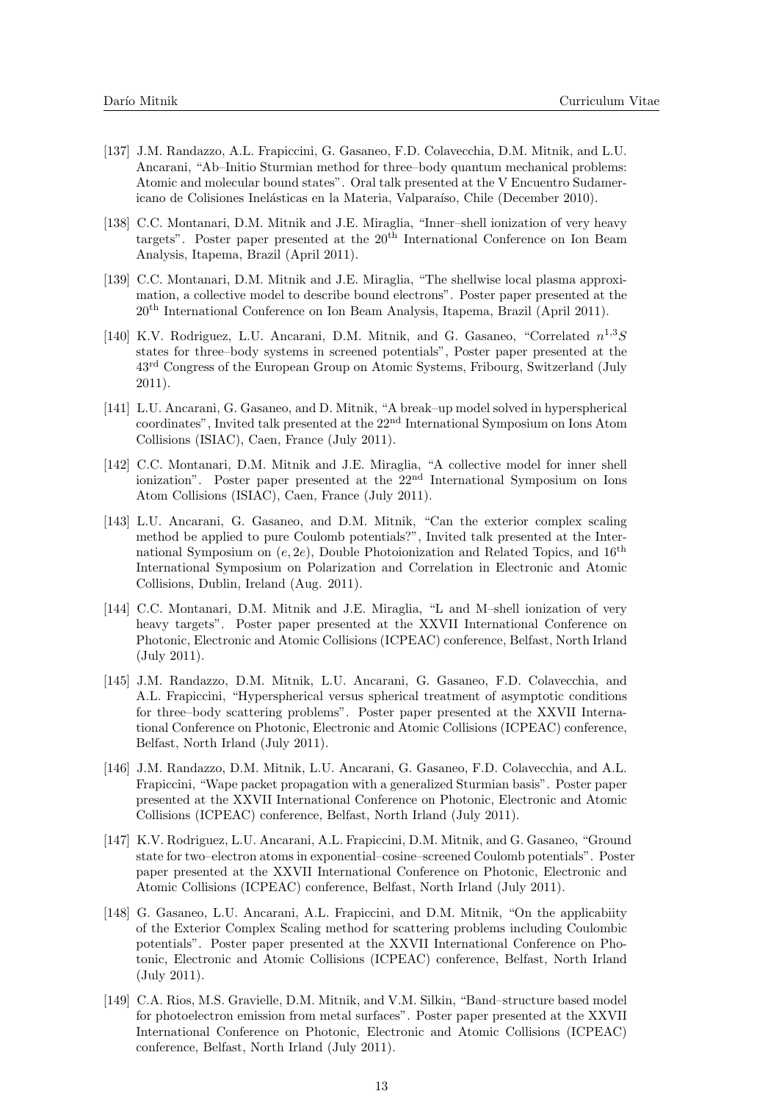- [137] J.M. Randazzo, A.L. Frapiccini, G. Gasaneo, F.D. Colavecchia, D.M. Mitnik, and L.U. Ancarani, "Ab–Initio Sturmian method for three–body quantum mechanical problems: Atomic and molecular bound states". Oral talk presented at the V Encuentro Sudamericano de Colisiones Inelásticas en la Materia, Valparaíso, Chile (December 2010).
- [138] C.C. Montanari, D.M. Mitnik and J.E. Miraglia, "Inner–shell ionization of very heavy targets". Poster paper presented at the 20th International Conference on Ion Beam Analysis, Itapema, Brazil (April 2011).
- [139] C.C. Montanari, D.M. Mitnik and J.E. Miraglia, "The shellwise local plasma approximation, a collective model to describe bound electrons". Poster paper presented at the 20th International Conference on Ion Beam Analysis, Itapema, Brazil (April 2011).
- [140] K.V. Rodriguez, L.U. Ancarani, D.M. Mitnik, and G. Gasaneo, "Correlated  $n^{1,3}S$ states for three–body systems in screened potentials", Poster paper presented at the 43rd Congress of the European Group on Atomic Systems, Fribourg, Switzerland (July 2011).
- [141] L.U. Ancarani, G. Gasaneo, and D. Mitnik, "A break–up model solved in hyperspherical coordinates", Invited talk presented at the 22nd International Symposium on Ions Atom Collisions (ISIAC), Caen, France (July 2011).
- [142] C.C. Montanari, D.M. Mitnik and J.E. Miraglia, "A collective model for inner shell ionization". Poster paper presented at the 22<sup>nd</sup> International Symposium on Ions Atom Collisions (ISIAC), Caen, France (July 2011).
- [143] L.U. Ancarani, G. Gasaneo, and D.M. Mitnik, "Can the exterior complex scaling method be applied to pure Coulomb potentials?", Invited talk presented at the International Symposium on  $(e, 2e)$ , Double Photoionization and Related Topics, and 16<sup>th</sup> International Symposium on Polarization and Correlation in Electronic and Atomic Collisions, Dublin, Ireland (Aug. 2011).
- [144] C.C. Montanari, D.M. Mitnik and J.E. Miraglia, "L and M–shell ionization of very heavy targets". Poster paper presented at the XXVII International Conference on Photonic, Electronic and Atomic Collisions (ICPEAC) conference, Belfast, North Irland (July 2011).
- [145] J.M. Randazzo, D.M. Mitnik, L.U. Ancarani, G. Gasaneo, F.D. Colavecchia, and A.L. Frapiccini, "Hyperspherical versus spherical treatment of asymptotic conditions for three–body scattering problems". Poster paper presented at the XXVII International Conference on Photonic, Electronic and Atomic Collisions (ICPEAC) conference, Belfast, North Irland (July 2011).
- [146] J.M. Randazzo, D.M. Mitnik, L.U. Ancarani, G. Gasaneo, F.D. Colavecchia, and A.L. Frapiccini, "Wape packet propagation with a generalized Sturmian basis". Poster paper presented at the XXVII International Conference on Photonic, Electronic and Atomic Collisions (ICPEAC) conference, Belfast, North Irland (July 2011).
- [147] K.V. Rodriguez, L.U. Ancarani, A.L. Frapiccini, D.M. Mitnik, and G. Gasaneo, "Ground state for two–electron atoms in exponential–cosine–screened Coulomb potentials". Poster paper presented at the XXVII International Conference on Photonic, Electronic and Atomic Collisions (ICPEAC) conference, Belfast, North Irland (July 2011).
- [148] G. Gasaneo, L.U. Ancarani, A.L. Frapiccini, and D.M. Mitnik, "On the applicabiity of the Exterior Complex Scaling method for scattering problems including Coulombic potentials". Poster paper presented at the XXVII International Conference on Photonic, Electronic and Atomic Collisions (ICPEAC) conference, Belfast, North Irland (July 2011).
- [149] C.A. Rios, M.S. Gravielle, D.M. Mitnik, and V.M. Silkin, "Band–structure based model for photoelectron emission from metal surfaces". Poster paper presented at the XXVII International Conference on Photonic, Electronic and Atomic Collisions (ICPEAC) conference, Belfast, North Irland (July 2011).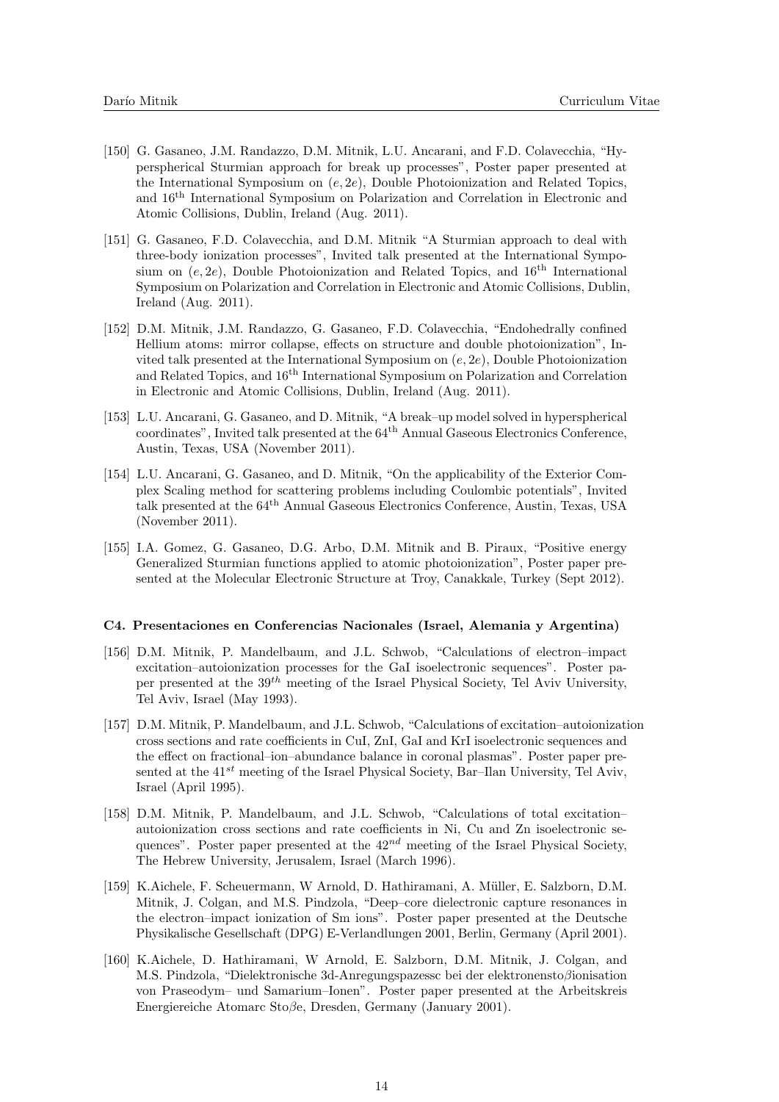- [150] G. Gasaneo, J.M. Randazzo, D.M. Mitnik, L.U. Ancarani, and F.D. Colavecchia, "Hyperspherical Sturmian approach for break up processes", Poster paper presented at the International Symposium on  $(e, 2e)$ , Double Photoionization and Related Topics, and 16th International Symposium on Polarization and Correlation in Electronic and Atomic Collisions, Dublin, Ireland (Aug. 2011).
- [151] G. Gasaneo, F.D. Colavecchia, and D.M. Mitnik "A Sturmian approach to deal with three-body ionization processes", Invited talk presented at the International Symposium on  $(e, 2e)$ , Double Photoionization and Related Topics, and 16<sup>th</sup> International Symposium on Polarization and Correlation in Electronic and Atomic Collisions, Dublin, Ireland (Aug. 2011).
- [152] D.M. Mitnik, J.M. Randazzo, G. Gasaneo, F.D. Colavecchia, "Endohedrally confined Hellium atoms: mirror collapse, effects on structure and double photoionization", Invited talk presented at the International Symposium on  $(e, 2e)$ , Double Photoionization and Related Topics, and 16th International Symposium on Polarization and Correlation in Electronic and Atomic Collisions, Dublin, Ireland (Aug. 2011).
- [153] L.U. Ancarani, G. Gasaneo, and D. Mitnik, "A break–up model solved in hyperspherical  $\alpha$  coordinates", Invited talk presented at the  $64<sup>th</sup>$  Annual Gaseous Electronics Conference, Austin, Texas, USA (November 2011).
- [154] L.U. Ancarani, G. Gasaneo, and D. Mitnik, "On the applicability of the Exterior Complex Scaling method for scattering problems including Coulombic potentials", Invited talk presented at the 64th Annual Gaseous Electronics Conference, Austin, Texas, USA (November 2011).
- [155] I.A. Gomez, G. Gasaneo, D.G. Arbo, D.M. Mitnik and B. Piraux, "Positive energy Generalized Sturmian functions applied to atomic photoionization", Poster paper presented at the Molecular Electronic Structure at Troy, Canakkale, Turkey (Sept 2012).

#### C4. Presentaciones en Conferencias Nacionales (Israel, Alemania y Argentina)

- [156] D.M. Mitnik, P. Mandelbaum, and J.L. Schwob, "Calculations of electron–impact excitation–autoionization processes for the GaI isoelectronic sequences". Poster paper presented at the  $39<sup>th</sup>$  meeting of the Israel Physical Society, Tel Aviv University, Tel Aviv, Israel (May 1993).
- [157] D.M. Mitnik, P. Mandelbaum, and J.L. Schwob, "Calculations of excitation–autoionization cross sections and rate coefficients in CuI, ZnI, GaI and KrI isoelectronic sequences and the effect on fractional–ion–abundance balance in coronal plasmas". Poster paper presented at the  $41^{st}$  meeting of the Israel Physical Society, Bar–Ilan University, Tel Aviv, Israel (April 1995).
- [158] D.M. Mitnik, P. Mandelbaum, and J.L. Schwob, "Calculations of total excitation– autoionization cross sections and rate coefficients in Ni, Cu and Zn isoelectronic sequences". Poster paper presented at the  $42^{nd}$  meeting of the Israel Physical Society, The Hebrew University, Jerusalem, Israel (March 1996).
- [159] K.Aichele, F. Scheuermann, W Arnold, D. Hathiramani, A. M¨uller, E. Salzborn, D.M. Mitnik, J. Colgan, and M.S. Pindzola, "Deep–core dielectronic capture resonances in the electron–impact ionization of Sm ions". Poster paper presented at the Deutsche Physikalische Gesellschaft (DPG) E-Verlandlungen 2001, Berlin, Germany (April 2001).
- [160] K.Aichele, D. Hathiramani, W Arnold, E. Salzborn, D.M. Mitnik, J. Colgan, and M.S. Pindzola, "Dielektronische 3d-Anregungspazessc bei der elektronenstoβionisation von Praseodym– und Samarium–Ionen". Poster paper presented at the Arbeitskreis Energiereiche Atomarc Stoβe, Dresden, Germany (January 2001).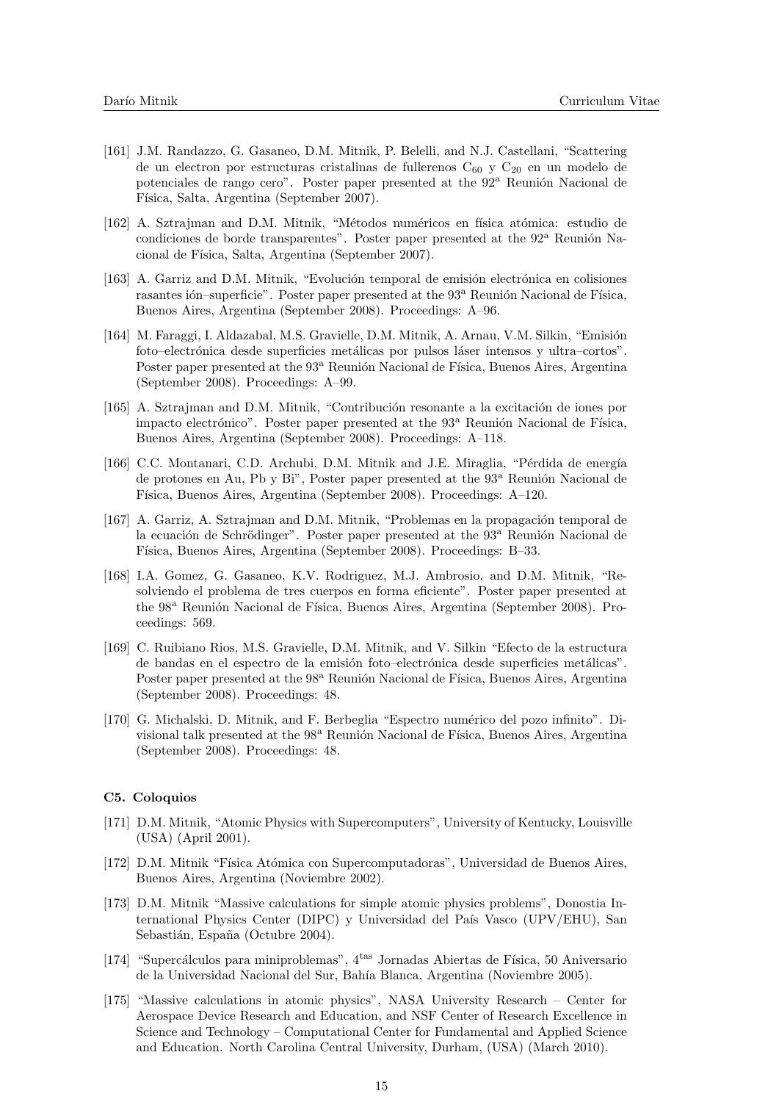- [161] J.M. Randazzo, G. Gasaneo, D.M. Mitnik, P. Belelli, and N.J. Castellani, "Scattering de un electron por estructuras cristalinas de fullerenos  $C_{60}$  y  $C_{20}$  en un modelo de potenciales de rango cero". Poster paper presented at the 92<sup>a</sup> Reunión Nacional de Física, Salta, Argentina (September 2007).
- [162] A. Sztrajman and D.M. Mitnik, "Métodos numéricos en física atómica: estudio de condiciones de borde transparentes". Poster paper presented at the  $92^{\circ}$  Reunión Nacional de Física, Salta, Argentina (September 2007).
- [163] A. Garriz and D.M. Mitnik, "Evolución temporal de emisión electrónica en colisiones rasantes ión–superficie". Poster paper presented at the 93<sup>a</sup> Reunión Nacional de Física, Buenos Aires, Argentina (September 2008). Proceedings: A–96.
- [164] M. Faraggi, I. Aldazabal, M.S. Gravielle, D.M. Mitnik, A. Arnau, V.M. Silkin, "Emisión foto–electrónica desde superficies metálicas por pulsos láser intensos y ultra–cortos". Poster paper presented at the 93<sup>a</sup> Reunión Nacional de Física, Buenos Aires, Argentina (September 2008). Proceedings: A–99.
- [165] A. Sztrajman and D.M. Mitnik, "Contribución resonante a la excitación de iones por impacto electrónico". Poster paper presented at the  $93^{\circ}$  Reunión Nacional de Física, Buenos Aires, Argentina (September 2008). Proceedings: A–118.
- [166] C.C. Montanari, C.D. Archubi, D.M. Mitnik and J.E. Miraglia, "Pérdida de energía de protones en Au, Pb y Bi", Poster paper presented at the 93<sup>a</sup> Reunión Nacional de Física, Buenos Aires, Argentina (September 2008). Proceedings: A–120.
- [167] A. Garriz, A. Sztrajman and D.M. Mitnik, "Problemas en la propagación temporal de la ecuación de Schrödinger". Poster paper presented at the 93<sup>a</sup> Reunión Nacional de Física, Buenos Aires, Argentina (September 2008). Proceedings: B-33.
- [168] I.A. Gomez, G. Gasaneo, K.V. Rodriguez, M.J. Ambrosio, and D.M. Mitnik, "Resolviendo el problema de tres cuerpos en forma eficiente". Poster paper presented at the 98<sup>a</sup> Reunión Nacional de Física, Buenos Aires, Argentina (September 2008). Proceedings: 569.
- [169] C. Ruibiano Rios, M.S. Gravielle, D.M. Mitnik, and V. Silkin "Efecto de la estructura de bandas en el espectro de la emisión foto–electrónica desde superficies metálicas". Poster paper presented at the 98<sup>a</sup> Reunión Nacional de Física, Buenos Aires, Argentina (September 2008). Proceedings: 48.
- [170] G. Michalski, D. Mitnik, and F. Berbeglia "Espectro numérico del pozo infinito". Divisional talk presented at the 98<sup>a</sup> Reunión Nacional de Física, Buenos Aires, Argentina (September 2008). Proceedings: 48.

### C5. Coloquios

- [171] D.M. Mitnik, "Atomic Physics with Supercomputers", University of Kentucky, Louisville (USA) (April 2001).
- [172] D.M. Mitnik "Física Atómica con Supercomputadoras", Universidad de Buenos Aires, Buenos Aires, Argentina (Noviembre 2002).
- [173] D.M. Mitnik "Massive calculations for simple atomic physics problems", Donostia International Physics Center (DIPC) y Universidad del País Vasco (UPV/EHU), San Sebastián, España (Octubre 2004).
- [174] "Supercálculos para miniproblemas", 4<sup>tas</sup> Jornadas Abiertas de Física, 50 Aniversario de la Universidad Nacional del Sur, Bah´ıa Blanca, Argentina (Noviembre 2005).
- [175] "Massive calculations in atomic physics", NASA University Research Center for Aerospace Device Research and Education, and NSF Center of Research Excellence in Science and Technology – Computational Center for Fundamental and Applied Science and Education. North Carolina Central University, Durham, (USA) (March 2010).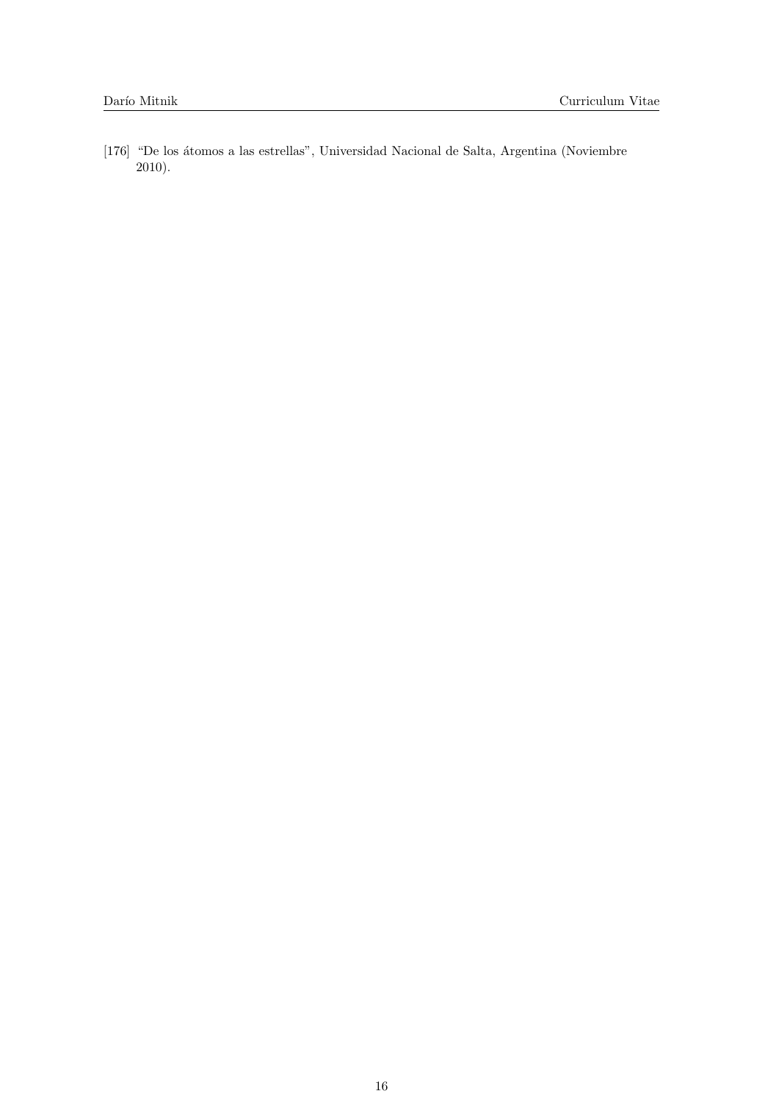[176] "De los átomos a las estrellas", Universidad Nacional de Salta, Argentina (Noviembre 2010).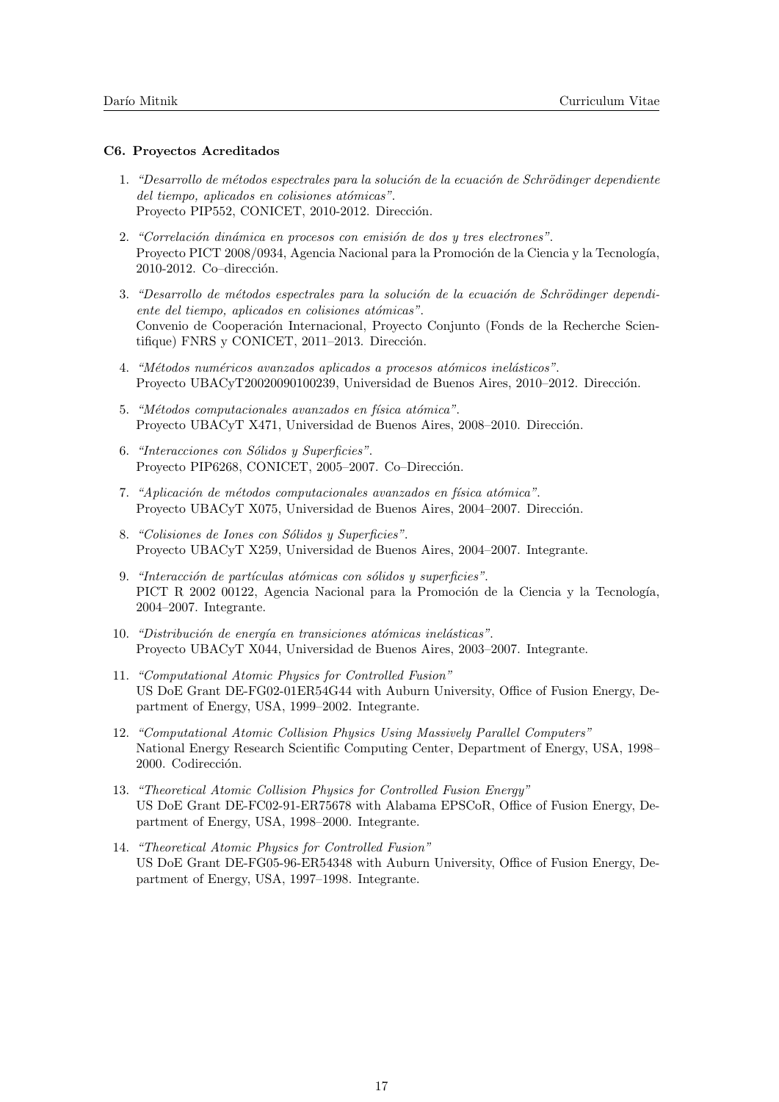## C6. Proyectos Acreditados

- 1. "Desarrollo de métodos espectrales para la solución de la ecuación de Schrödinger dependiente del tiempo, aplicados en colisiones atómicas". Proyecto PIP552, CONICET, 2010-2012. Dirección.
- 2. "Correlación dinámica en procesos con emisión de dos  $y$  tres electrones". Proyecto PICT 2008/0934, Agencia Nacional para la Promoción de la Ciencia y la Tecnología, 2010-2012. Co-dirección.
- 3. "Desarrollo de métodos espectrales para la solución de la ecuación de Schrödinger dependiente del tiempo, aplicados en colisiones atómicas". Convenio de Cooperación Internacional, Proyecto Conjunto (Fonds de la Recherche Scientifique) FNRS y CONICET, 2011-2013. Dirección.
- 4. "Métodos numéricos avanzados aplicados a procesos atómicos inelásticos". Proyecto UBACyT20020090100239, Universidad de Buenos Aires, 2010–2012. Dirección.
- 5. "Métodos computacionales avanzados en física atómica". Proyecto UBACyT X471, Universidad de Buenos Aires, 2008–2010. Dirección.
- 6. "Interacciones con Sólidos y Superficies". Proyecto PIP6268, CONICET, 2005–2007. Co–Dirección.
- 7. "Aplicación de métodos computacionales avanzados en física atómica". Proyecto UBACyT X075, Universidad de Buenos Aires, 2004–2007. Dirección.
- 8. "Colisiones de Iones con Sólidos y Superficies". Proyecto UBACyT X259, Universidad de Buenos Aires, 2004–2007. Integrante.
- 9. "Interacción de partículas atómicas con sólidos y superficies". PICT R 2002 00122, Agencia Nacional para la Promoción de la Ciencia y la Tecnología, 2004–2007. Integrante.
- 10. "Distribución de energía en transiciones atómicas inelásticas". Proyecto UBACyT X044, Universidad de Buenos Aires, 2003–2007. Integrante.
- 11. "Computational Atomic Physics for Controlled Fusion" US DoE Grant DE-FG02-01ER54G44 with Auburn University, Office of Fusion Energy, Department of Energy, USA, 1999–2002. Integrante.
- 12. "Computational Atomic Collision Physics Using Massively Parallel Computers" National Energy Research Scientific Computing Center, Department of Energy, USA, 1998– 2000. Codirección.
- 13. "Theoretical Atomic Collision Physics for Controlled Fusion Energy" US DoE Grant DE-FC02-91-ER75678 with Alabama EPSCoR, Office of Fusion Energy, Department of Energy, USA, 1998–2000. Integrante.
- 14. "Theoretical Atomic Physics for Controlled Fusion" US DoE Grant DE-FG05-96-ER54348 with Auburn University, Office of Fusion Energy, Department of Energy, USA, 1997–1998. Integrante.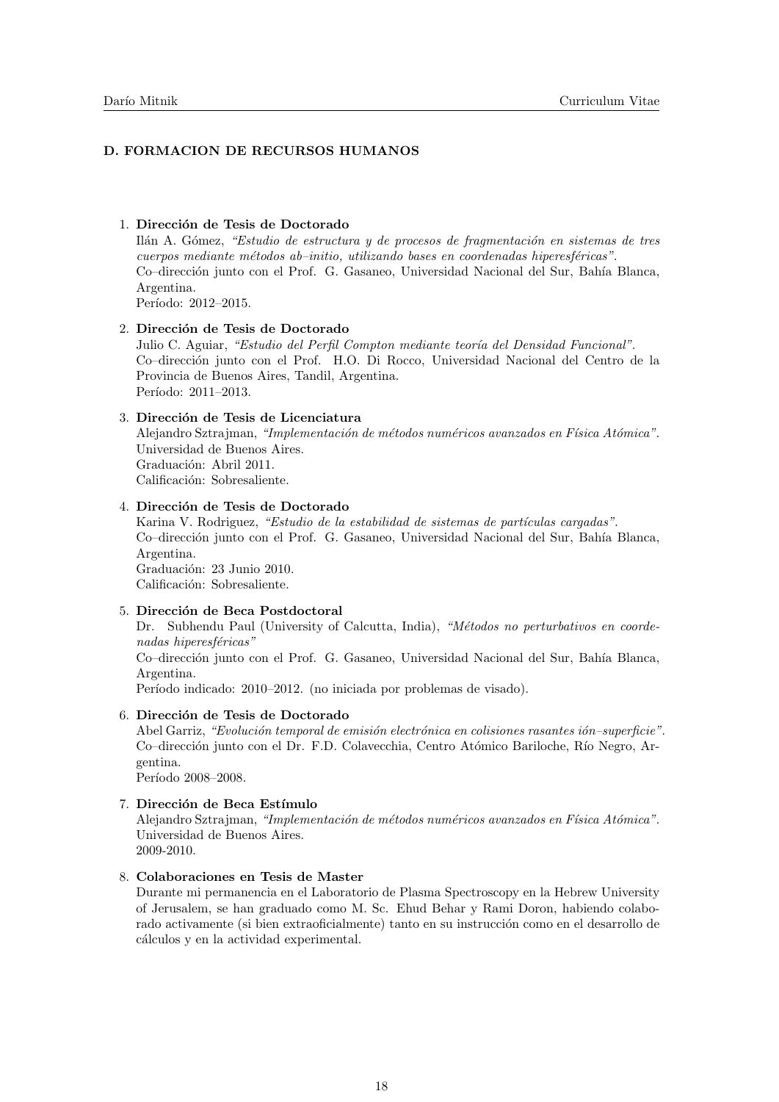# D. FORMACION DE RECURSOS HUMANOS

## 1. Dirección de Tesis de Doctorado

Ilán A. Gómez, "Estudio de estructura y de procesos de fragmentación en sistemas de tres  $cuerpos$  mediante métodos ab–initio, utilizando bases en coordenadas hiperesféricas". Co–dirección junto con el Prof. G. Gasaneo, Universidad Nacional del Sur, Bahía Blanca, Argentina.

Período: 2012–2015.

#### 2. Dirección de Tesis de Doctorado

Julio C. Aguiar, "Estudio del Perfil Compton mediante teoría del Densidad Funcional". Co–dirección junto con el Prof. H.O. Di Rocco, Universidad Nacional del Centro de la Provincia de Buenos Aires, Tandil, Argentina. Período: 2011-2013.

#### 3. Dirección de Tesis de Licenciatura

Alejandro Sztrajman, "Implementación de métodos numéricos avanzados en Física Atómica". Universidad de Buenos Aires. Graduación: Abril 2011. Calificación: Sobresaliente.

# 4. Dirección de Tesis de Doctorado

Karina V. Rodriguez, "Estudio de la estabilidad de sistemas de partículas cargadas". Co–dirección junto con el Prof. G. Gasaneo, Universidad Nacional del Sur, Bahía Blanca, Argentina. Graduación: 23 Junio 2010. Calificación: Sobresaliente.

## 5. Dirección de Beca Postdoctoral

Dr. Subhendu Paul (University of Calcutta, India), "Métodos no perturbativos en coordenadas hiperesféricas"

Co–dirección junto con el Prof. G. Gasaneo, Universidad Nacional del Sur, Bahía Blanca, Argentina.

Período indicado: 2010–2012. (no iniciada por problemas de visado).

### 6. Dirección de Tesis de Doctorado

Abel Garriz, "Evolución temporal de emisión electrónica en colisiones rasantes ión-superficie". Co–dirección junto con el Dr. F.D. Colavecchia, Centro Atómico Bariloche, Río Negro, Argentina.

Período 2008–2008.

## 7. Dirección de Beca Estímulo

Alejandro Sztrajman, "Implementación de métodos numéricos avanzados en Física Atómica". Universidad de Buenos Aires. 2009-2010.

#### 8. Colaboraciones en Tesis de Master

Durante mi permanencia en el Laboratorio de Plasma Spectroscopy en la Hebrew University of Jerusalem, se han graduado como M. Sc. Ehud Behar y Rami Doron, habiendo colaborado activamente (si bien extraoficialmente) tanto en su instrucción como en el desarrollo de cálculos y en la actividad experimental.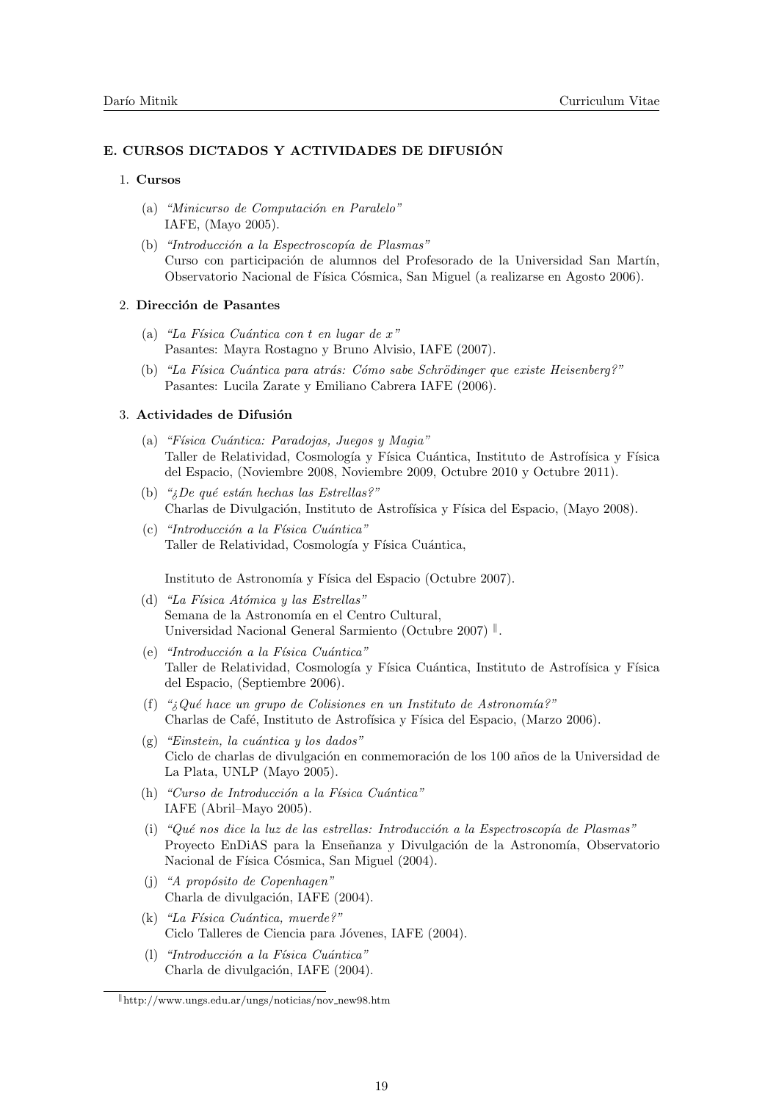# E. CURSOS DICTADOS Y ACTIVIDADES DE DIFUSIÓN

## 1. Cursos

- (a) "Minicurso de Computación en Paralelo" IAFE, (Mayo 2005).
- (b) "Introducción a la Espectroscopía de Plasmas" Curso con participación de alumnos del Profesorado de la Universidad San Martín, Observatorio Nacional de Física Cósmica, San Miguel (a realizarse en Agosto 2006).

### 2. Dirección de Pasantes

- (a) "La Física Cuántica con t en lugar de  $x$ " Pasantes: Mayra Rostagno y Bruno Alvisio, IAFE (2007).
- (b) "La Física Cuántica para atrás: Cómo sabe Schrödinger que existe Heisenberg?" Pasantes: Lucila Zarate y Emiliano Cabrera IAFE (2006).

#### 3. Actividades de Difusión

- (a) "Física Cuántica: Paradojas, Juegos y Magia" Taller de Relatividad, Cosmología y Física Cuántica, Instituto de Astrofísica y Física del Espacio, (Noviembre 2008, Noviembre 2009, Octubre 2010 y Octubre 2011).
- (b) " $iDe$  qué están hechas las Estrellas?" Charlas de Divulgación, Instituto de Astrofísica y Física del Espacio, (Mayo 2008).
- $(c)$  "Introducción a la Física Cuántica" Taller de Relatividad, Cosmología y Física Cuántica,

Instituto de Astronomía y Física del Espacio (Octubre 2007).

- (d) "La Física Atómica y las Estrellas" Semana de la Astronomía en el Centro Cultural, Universidad Nacional General Sarmiento (Octubre 2007)<sup>||</sup>.
- $(e)$  "Introducción a la Física Cuántica" Taller de Relatividad, Cosmología y Física Cuántica, Instituto de Astrofísica y Física del Espacio, (Septiembre 2006).
- (f) " $i\partial u \in \partial u$  grupo de Colisiones en un Instituto de Astronomía?" Charlas de Café, Instituto de Astrofísica y Física del Espacio, (Marzo 2006).
- $(g)$  "Einstein, la cuántica y los dados" Ciclo de charlas de divulgación en conmemoración de los 100 años de la Universidad de La Plata, UNLP (Mayo 2005).
- $(h)$  "Curso de Introducción a la Física Cuántica" IAFE (Abril–Mayo 2005).
- (i) "Qué nos dice la luz de las estrellas: Introducción a la Espectroscopía de Plasmas" Proyecto EnDiAS para la Enseñanza y Divulgación de la Astronomía, Observatorio Nacional de Física Cósmica, San Miguel (2004).
- (i) "A propósito de Copenhagen" Charla de divulgación, IAFE (2004).
- (k) "La Física Cuántica, muerde?" Ciclo Talleres de Ciencia para Jóvenes, IAFE (2004).
- $(l)$  "Introducción a la Física Cuántica" Charla de divulgación, IAFE (2004).

 $\Vert$ http://www.ungs.edu.ar/ungs/noticias/nov\_new98.htm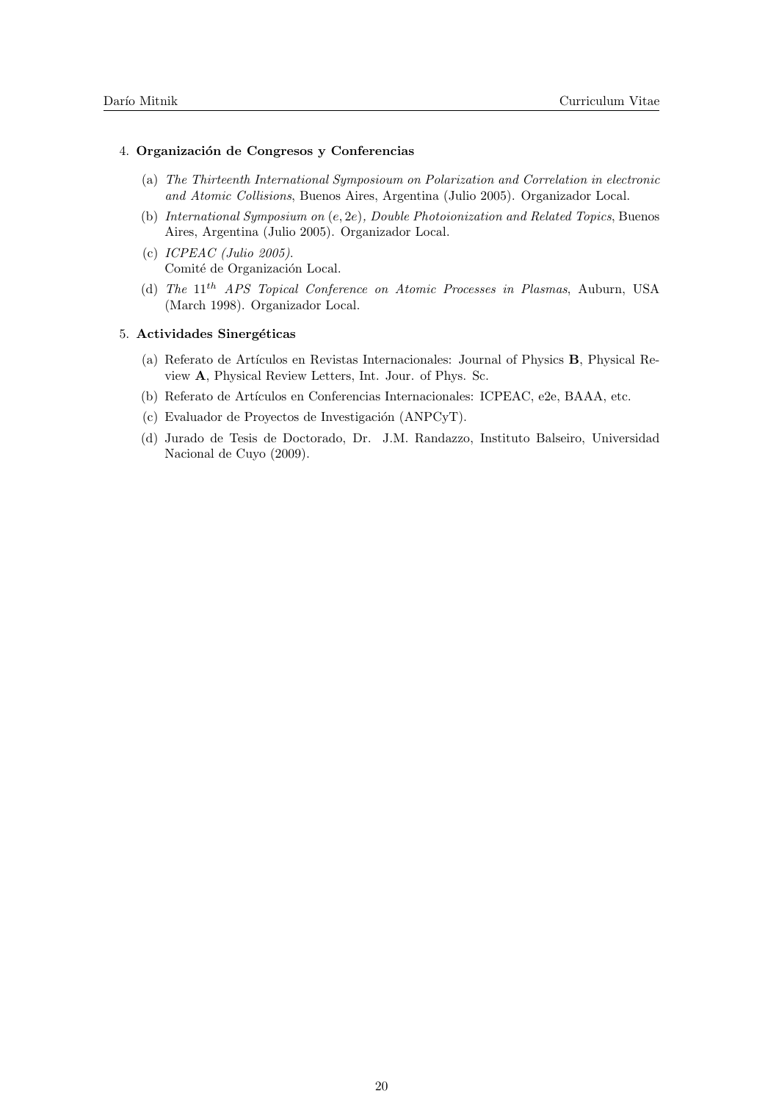## 4. Organización de Congresos y Conferencias

- (a) The Thirteenth International Symposioum on Polarization and Correlation in electronic and Atomic Collisions, Buenos Aires, Argentina (Julio 2005). Organizador Local.
- (b) International Symposium on (e, 2e), Double Photoionization and Related Topics, Buenos Aires, Argentina (Julio 2005). Organizador Local.
- (c) ICPEAC (Julio 2005). Comité de Organización Local.
- (d) The 11th APS Topical Conference on Atomic Processes in Plasmas, Auburn, USA (March 1998). Organizador Local.

#### 5. Actividades Sinergéticas

- (a) Referato de Art´ıculos en Revistas Internacionales: Journal of Physics B, Physical Review A, Physical Review Letters, Int. Jour. of Phys. Sc.
- (b) Referato de Artículos en Conferencias Internacionales: ICPEAC, e2e, BAAA, etc.
- $(c)$  Evaluador de Proyectos de Investigación (ANPCyT).
- (d) Jurado de Tesis de Doctorado, Dr. J.M. Randazzo, Instituto Balseiro, Universidad Nacional de Cuyo (2009).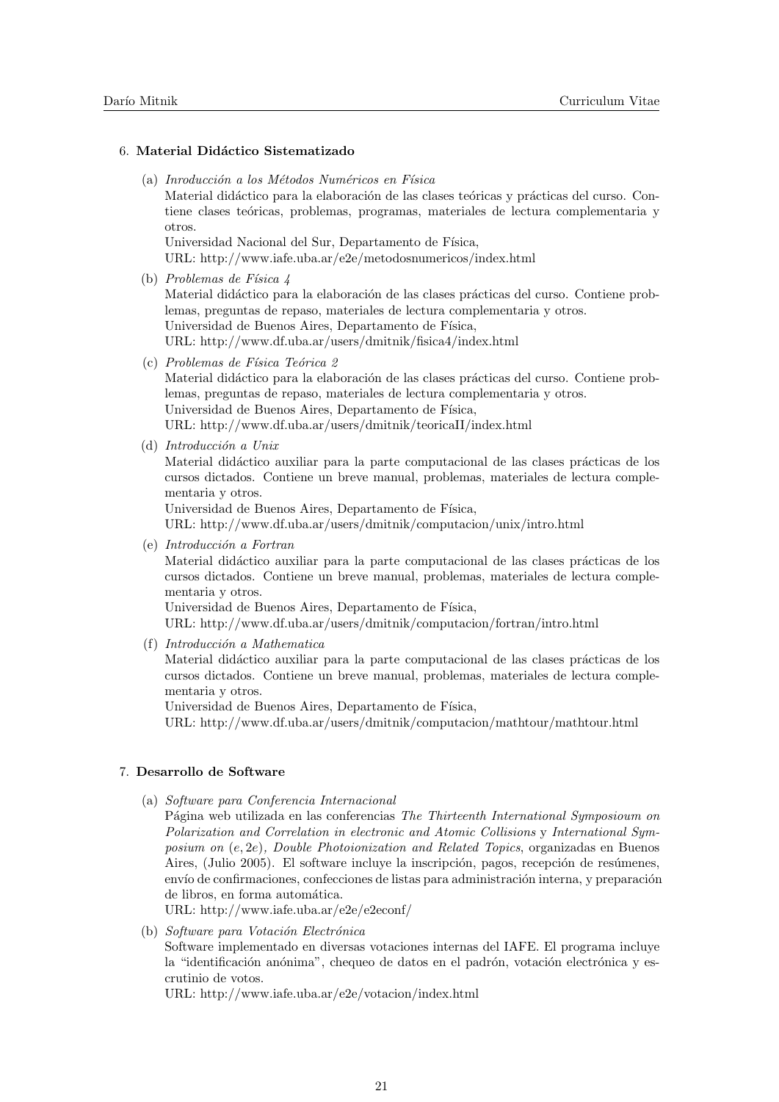## 6. Material Didáctico Sistematizado

(a) Inroducción a los Métodos Numéricos en Física

Material didáctico para la elaboración de las clases teóricas y prácticas del curso. Contiene clases teóricas, problemas, programas, materiales de lectura complementaria y otros.

Universidad Nacional del Sur, Departamento de Física, URL: http://www.iafe.uba.ar/e2e/metodosnumericos/index.html

(b) Problemas de Física  $\downarrow$ 

Material didáctico para la elaboración de las clases prácticas del curso. Contiene problemas, preguntas de repaso, materiales de lectura complementaria y otros. Universidad de Buenos Aires, Departamento de Física, URL: http://www.df.uba.ar/users/dmitnik/fisica4/index.html

(c) Problemas de Física Teórica 2

Material didáctico para la elaboración de las clases prácticas del curso. Contiene problemas, preguntas de repaso, materiales de lectura complementaria y otros. Universidad de Buenos Aires, Departamento de Física, URL: http://www.df.uba.ar/users/dmitnik/teoricaII/index.html

(d) Introducción a Unix

Material didáctico auxiliar para la parte computacional de las clases prácticas de los cursos dictados. Contiene un breve manual, problemas, materiales de lectura complementaria y otros.

Universidad de Buenos Aires, Departamento de Física,

URL: http://www.df.uba.ar/users/dmitnik/computacion/unix/intro.html

 $(e)$  Introducción a Fortran

Material didáctico auxiliar para la parte computacional de las clases prácticas de los cursos dictados. Contiene un breve manual, problemas, materiales de lectura complementaria y otros.

Universidad de Buenos Aires, Departamento de Física,

URL: http://www.df.uba.ar/users/dmitnik/computacion/fortran/intro.html

 $(f)$  Introducción a Mathematica

Material didáctico auxiliar para la parte computacional de las clases prácticas de los cursos dictados. Contiene un breve manual, problemas, materiales de lectura complementaria y otros.

Universidad de Buenos Aires, Departamento de Física,

URL: http://www.df.uba.ar/users/dmitnik/computacion/mathtour/mathtour.html

# 7. Desarrollo de Software

(a) Software para Conferencia Internacional

Página web utilizada en las conferencias The Thirteenth International Symposioum on Polarization and Correlation in electronic and Atomic Collisions y International Symposium on  $(e, 2e)$ , Double Photoionization and Related Topics, organizadas en Buenos Aires, (Julio 2005). El software incluve la inscripción, pagos, recepción de resúmenes, envío de confirmaciones, confecciones de listas para administración interna, y preparación de libros, en forma automática.

URL: http://www.iafe.uba.ar/e2e/e2econf/

(b) Software para Votación Electrónica

Software implementado en diversas votaciones internas del IAFE. El programa incluye la "identificación anónima", chequeo de datos en el padrón, votación electrónica y escrutinio de votos.

URL: http://www.iafe.uba.ar/e2e/votacion/index.html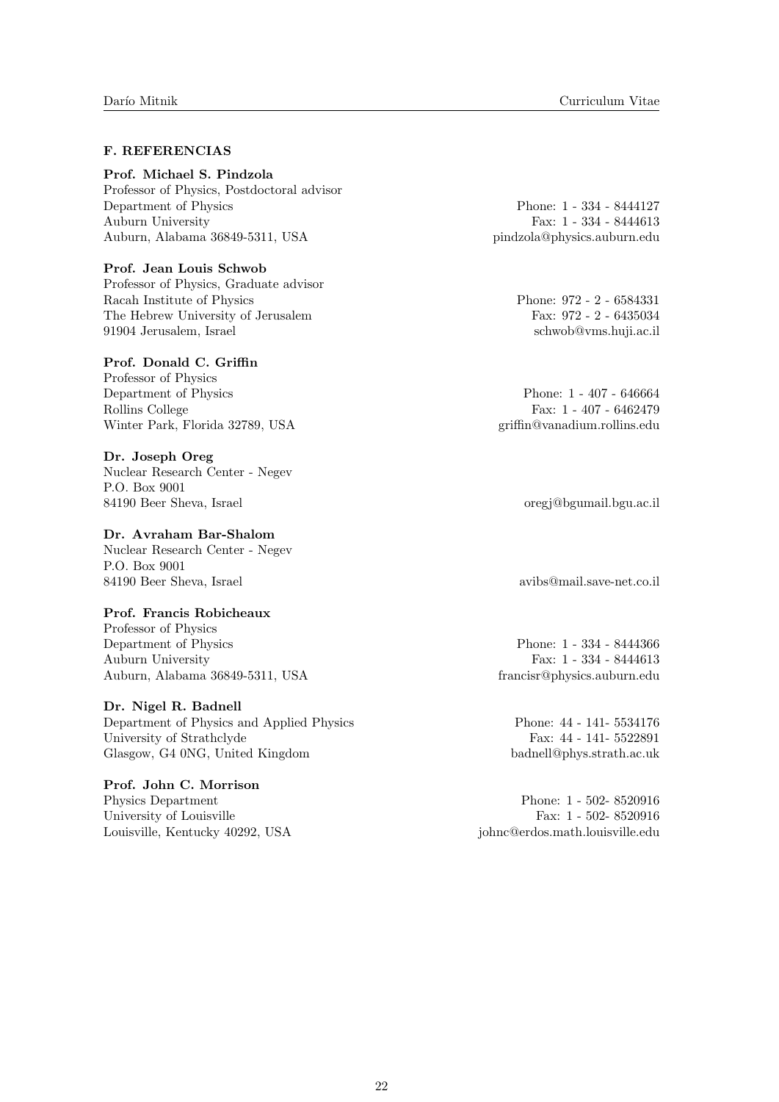# F. REFERENCIAS

Prof. Michael S. Pindzola Professor of Physics, Postdoctoral advisor Department of Physics Phone: 1 - 334 - 8444127 Auburn University Fax: 1 - 334 - 8444613

Prof. Jean Louis Schwob

Professor of Physics, Graduate advisor Racah Institute of Physics Phone: 972 - 2 - 6584331 The Hebrew University of Jerusalem Fax: 972 - 2 - 6435034 91904 Jerusalem, Israel schwob@vms.huji.ac.il

## Prof. Donald C. Griffin

Professor of Physics Department of Physics Phone: 1 - 407 - 646664 Rollins College Fax: 1 - 407 - 6462479 Winter Park, Florida 32789, USA griffin@vanadium.rollins.edu

Dr. Joseph Oreg Nuclear Research Center - Negev P.O. Box 9001 84190 Beer Sheva, Israel oregj@bgumail.bgu.ac.il

## Dr. Avraham Bar-Shalom

Nuclear Research Center - Negev P.O. Box 9001 84190 Beer Sheva, Israel avibs@mail.save-net.co.il

## Prof. Francis Robicheaux

Professor of Physics Department of Physics Phone: 1 - 334 - 8444366 Auburn University Fax: 1 - 334 - 8444613 Auburn, Alabama 36849-5311, USA francisr@physics.auburn.edu

## Dr. Nigel R. Badnell

Department of Physics and Applied Physics Phone: 44 - 141- 5534176 University of Strathclyde Fax: 44 - 141- 5522891 Glasgow, G4 0NG, United Kingdom badnell@phys.strath.ac.uk

Prof. John C. Morrison Physics Department Phone: 1 - 502- 8520916 University of Louisville Fax: 1 - 502- 8520916

Auburn, Alabama 36849-5311, USA pindzola@physics.auburn.edu

Louisville, Kentucky 40292, USA johnc@erdos.math.louisville.edu